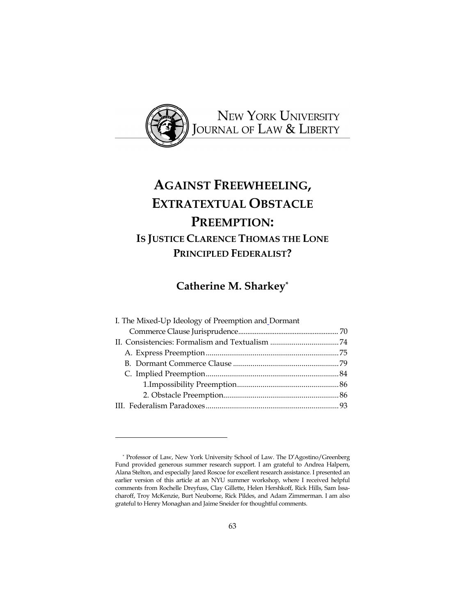

# **AGAINST FREEWHEELING, EXTRATEXTUAL OBSTACLE PREEMPTION: IS JUSTICE CLARENCE THOMAS THE LONE PRINCIPLED FEDERALIST?**

**Catherine M. Sharkey\***

| I. The Mixed-Up Ideology of Preemption and Dormant |  |
|----------------------------------------------------|--|
|                                                    |  |
|                                                    |  |
|                                                    |  |
|                                                    |  |
|                                                    |  |
|                                                    |  |
|                                                    |  |
|                                                    |  |
|                                                    |  |

<sup>\*</sup> Professor of Law, New York University School of Law. The D'Agostino/Greenberg Fund provided generous summer research support. I am grateful to Andrea Halpern, Alana Stelton, and especially Jared Roscoe for excellent research assistance. I presented an earlier version of this article at an NYU summer workshop, where I received helpful comments from Rochelle Dreyfuss, Clay Gillette, Helen Hershkoff, Rick Hills, Sam Issacharoff, Troy McKenzie, Burt Neuborne, Rick Pildes, and Adam Zimmerman. I am also grateful to Henry Monaghan and Jaime Sneider for thoughtful comments.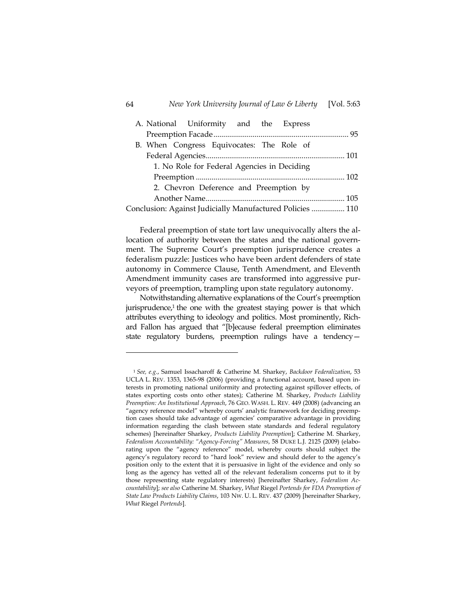#### 64 *New York University Journal of Law & Liberty* [Vol. 5:63

| A. National Uniformity and the Express                    |  |
|-----------------------------------------------------------|--|
|                                                           |  |
| B. When Congress Equivocates: The Role of                 |  |
|                                                           |  |
| 1. No Role for Federal Agencies in Deciding               |  |
|                                                           |  |
| 2. Chevron Deference and Preemption by                    |  |
|                                                           |  |
| Conclusion: Against Judicially Manufactured Policies  110 |  |

Federal preemption of state tort law unequivocally alters the allocation of authority between the states and the national government. The Supreme Court's preemption jurisprudence creates a federalism puzzle: Justices who have been ardent defenders of state autonomy in Commerce Clause, Tenth Amendment, and Eleventh Amendment immunity cases are transformed into aggressive purveyors of preemption, trampling upon state regulatory autonomy.

Notwithstanding alternative explanations of the Court's preemption jurisprudence,<sup>1</sup> the one with the greatest staying power is that which attributes everything to ideology and politics. Most prominently, Richard Fallon has argued that "[b]ecause federal preemption eliminates state regulatory burdens, preemption rulings have a tendency—

<sup>1</sup> *See, e.g*., Samuel Issacharoff & Catherine M. Sharkey, *Backdoor Federalization*, 53 UCLA L. REV. 1353, 1365-98 (2006) (providing a functional account, based upon interests in promoting national uniformity and protecting against spillover effects, of states exporting costs onto other states); Catherine M. Sharkey, *Products Liability Preemption: An Institutional Approach*, 76 GEO. WASH. L. REV. 449 (2008) (advancing an "agency reference model" whereby courts' analytic framework for deciding preemption cases should take advantage of agencies' comparative advantage in providing information regarding the clash between state standards and federal regulatory schemes) [hereinafter Sharkey, *Products Liability Preemption*]; Catherine M. Sharkey, *Federalism Accountability: "Agency-Forcing" Measures*, 58 DUKE L.J. 2125 (2009) (elaborating upon the "agency reference" model, whereby courts should subject the agency's regulatory record to "hard look" review and should defer to the agency's position only to the extent that it is persuasive in light of the evidence and only so long as the agency has vetted all of the relevant federalism concerns put to it by those representing state regulatory interests) [hereinafter Sharkey, *Federalism Accountability*]; *see also* Catherine M. Sharkey, *What* Riegel *Portends for FDA Preemption of State Law Products Liability Claims*, 103 NW. U. L. REV. 437 (2009) [hereinafter Sharkey, *What* Riegel *Portends*].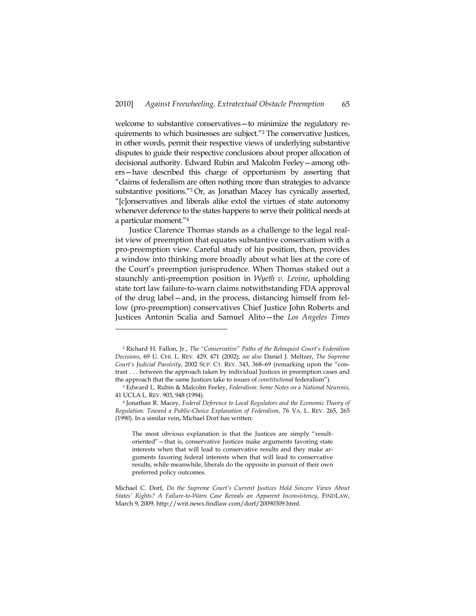welcome to substantive conservatives—to minimize the regulatory requirements to which businesses are subject."2 The conservative Justices, in other words, permit their respective views of underlying substantive disputes to guide their respective conclusions about proper allocation of decisional authority. Edward Rubin and Malcolm Feeley—among others—have described this charge of opportunism by asserting that "claims of federalism are often nothing more than strategies to advance substantive positions."<sup>3</sup> Or, as Jonathan Macey has cynically asserted, "[c]onservatives and liberals alike extol the virtues of state autonomy whenever deference to the states happens to serve their political needs at a particular moment."4

Justice Clarence Thomas stands as a challenge to the legal realist view of preemption that equates substantive conservatism with a pro-preemption view. Careful study of his position, then, provides a window into thinking more broadly about what lies at the core of the Court's preemption jurisprudence. When Thomas staked out a staunchly anti-preemption position in *Wyeth v. Levine*, upholding state tort law failure-to-warn claims notwithstanding FDA approval of the drug label—and, in the process, distancing himself from fellow (pro-preemption) conservatives Chief Justice John Roberts and Justices Antonin Scalia and Samuel Alito—the *Los Angeles Times*

<sup>2</sup> Richard H. Fallon, Jr., *The "Conservative" Paths of the Rehnquist Court's Federalism Decisions*, 69 U. CHI. L. REV. 429, 471 (2002); *see also* Daniel J. Meltzer, *The Supreme Court's Judicial Passivity*, 2002 SUP. CT. REV. 343, 368–69 (remarking upon the "contrast . . . between the approach taken by individual Justices in preemption cases and the approach that the same Justices take to issues of *constitutional* federalism").

<sup>3</sup> Edward L. Rubin & Malcolm Feeley, *Federalism: Some Notes on a National Neurosis*,

<sup>41</sup> UCLA L. REV. 903, 948 (1994). 4 Jonathan R. Macey, *Federal Deference to Local Regulators and the Economic Theory of Regulation: Toward a Public-Choice Explanation of Federalism*, 76 VA. L. REV. 265, 265 (1990). In a similar vein, Michael Dorf has written:

The most obvious explanation is that the Justices are simply "resultoriented"—that is, conservative Justices make arguments favoring state interests when that will lead to conservative results and they make arguments favoring federal interests when that will lead to conservative results, while meanwhile, liberals do the opposite in pursuit of their own preferred policy outcomes.

Michael C. Dorf, *Do the Supreme Court's Current Justices Hold Sincere Views About States' Rights? A Failure-to-Warn Case Reveals an Apparent Inconsistency*, FINDLAW, March 9, 2009, http://writ.news.findlaw.com/dorf/20090309.html.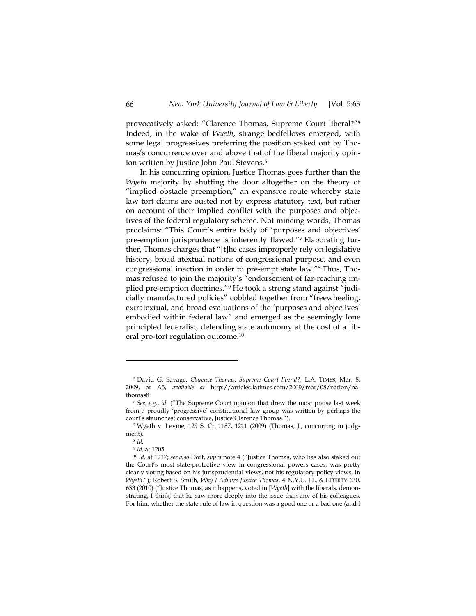provocatively asked: "Clarence Thomas, Supreme Court liberal?"5 Indeed, in the wake of *Wyeth*, strange bedfellows emerged, with some legal progressives preferring the position staked out by Thomas's concurrence over and above that of the liberal majority opinion written by Justice John Paul Stevens.<sup>6</sup>

In his concurring opinion, Justice Thomas goes further than the *Wyeth* majority by shutting the door altogether on the theory of "implied obstacle preemption," an expansive route whereby state law tort claims are ousted not by express statutory text, but rather on account of their implied conflict with the purposes and objectives of the federal regulatory scheme. Not mincing words, Thomas proclaims: "This Court's entire body of 'purposes and objectives' pre-emption jurisprudence is inherently flawed."7 Elaborating further, Thomas charges that "[t]he cases improperly rely on legislative history, broad atextual notions of congressional purpose, and even congressional inaction in order to pre-empt state law."8 Thus, Thomas refused to join the majority's "endorsement of far-reaching implied pre-emption doctrines."9 He took a strong stand against "judicially manufactured policies" cobbled together from "freewheeling, extratextual, and broad evaluations of the 'purposes and objectives' embodied within federal law" and emerged as the seemingly lone principled federalist, defending state autonomy at the cost of a liberal pro-tort regulation outcome.10

<sup>5</sup> David G. Savage, *Clarence Thomas, Supreme Court liberal?*, L.A. TIMES, Mar. 8, 2009, at A3, *available at* http://articles.latimes.com/2009/mar/08/nation/nathomas8.

<sup>6</sup> *See, e.g.*, *id.* ("The Supreme Court opinion that drew the most praise last week from a proudly 'progressive' constitutional law group was written by perhaps the court's staunchest conservative, Justice Clarence Thomas.").

<sup>7</sup> Wyeth v. Levine, 129 S. Ct. 1187, 1211 (2009) (Thomas, J., concurring in judgment).<br> $8 \text{ Id.}$ 

<sup>9</sup> *Id.* at 1205.

<sup>10</sup> *Id.* at 1217; *see also* Dorf, *supra* note 4 ("Justice Thomas, who has also staked out the Court's most state-protective view in congressional powers cases, was pretty clearly voting based on his jurisprudential views, not his regulatory policy views, in *Wyeth.*"); Robert S. Smith, *Why I Admire Justice Thomas*, 4 N.Y.U. J.L. & LIBERTY 630, 633 (2010) ("Justice Thomas, as it happens, voted in [*Wyeth*] with the liberals, demonstrating, I think, that he saw more deeply into the issue than any of his colleagues. For him, whether the state rule of law in question was a good one or a bad one (and I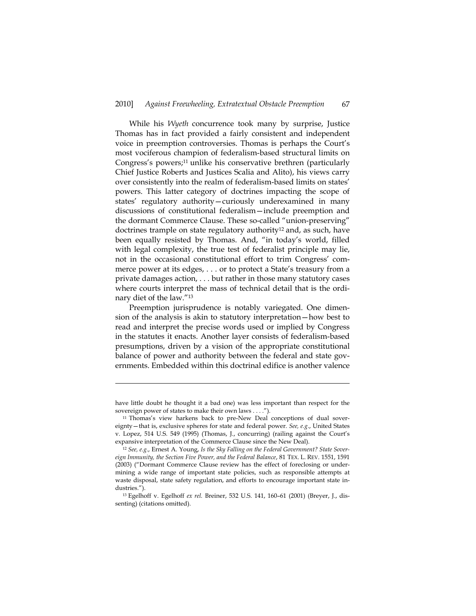While his *Wyeth* concurrence took many by surprise, Justice Thomas has in fact provided a fairly consistent and independent voice in preemption controversies. Thomas is perhaps the Court's most vociferous champion of federalism-based structural limits on Congress's powers;<sup>11</sup> unlike his conservative brethren (particularly Chief Justice Roberts and Justices Scalia and Alito), his views carry over consistently into the realm of federalism-based limits on states' powers. This latter category of doctrines impacting the scope of states' regulatory authority—curiously underexamined in many discussions of constitutional federalism—include preemption and the dormant Commerce Clause. These so-called "union-preserving" doctrines trample on state regulatory authority<sup>12</sup> and, as such, have been equally resisted by Thomas. And, "in today's world, filled with legal complexity, the true test of federalist principle may lie, not in the occasional constitutional effort to trim Congress' commerce power at its edges, . . . or to protect a State's treasury from a private damages action, . . . but rather in those many statutory cases where courts interpret the mass of technical detail that is the ordinary diet of the law."13

Preemption jurisprudence is notably variegated. One dimension of the analysis is akin to statutory interpretation—how best to read and interpret the precise words used or implied by Congress in the statutes it enacts. Another layer consists of federalism-based presumptions, driven by a vision of the appropriate constitutional balance of power and authority between the federal and state governments. Embedded within this doctrinal edifice is another valence

have little doubt he thought it a bad one) was less important than respect for the sovereign power of states to make their own laws . . . .").<br><sup>11</sup> Thomas's view harkens back to pre-New Deal conceptions of dual sover-

eignty—that is, exclusive spheres for state and federal power. *See, e.g*., United States v. Lopez, 514 U.S. 549 (1995) (Thomas, J., concurring) (railing against the Court's expansive interpretation of the Commerce Clause since the New Deal).

<sup>12</sup> *See, e.g.*, Ernest A. Young, *Is the Sky Falling on the Federal Government? State Sovereign Immunity, the Section Five Power, and the Federal Balance*, 81 TEX. L. REV. 1551, 1591 (2003) ("Dormant Commerce Clause review has the effect of foreclosing or undermining a wide range of important state policies, such as responsible attempts at waste disposal, state safety regulation, and efforts to encourage important state industries."). 13 Egelhoff v. Egelhoff *ex rel.* Breiner, 532 U.S. 141, 160–61 (2001) (Breyer, J., dis-

senting) (citations omitted).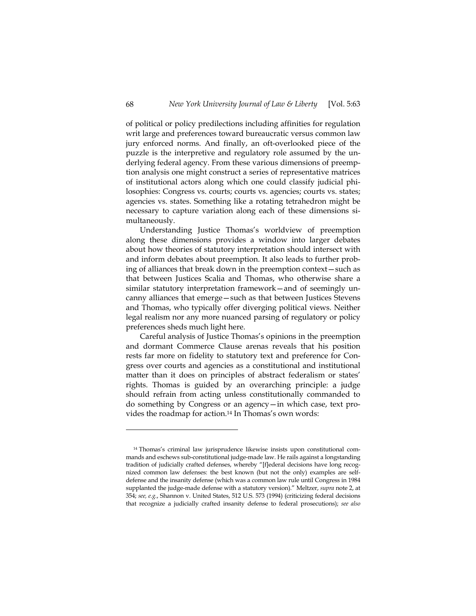of political or policy predilections including affinities for regulation writ large and preferences toward bureaucratic versus common law jury enforced norms. And finally, an oft-overlooked piece of the puzzle is the interpretive and regulatory role assumed by the underlying federal agency. From these various dimensions of preemption analysis one might construct a series of representative matrices of institutional actors along which one could classify judicial philosophies: Congress vs. courts; courts vs. agencies; courts vs. states; agencies vs. states. Something like a rotating tetrahedron might be necessary to capture variation along each of these dimensions simultaneously.

Understanding Justice Thomas's worldview of preemption along these dimensions provides a window into larger debates about how theories of statutory interpretation should intersect with and inform debates about preemption. It also leads to further probing of alliances that break down in the preemption context—such as that between Justices Scalia and Thomas, who otherwise share a similar statutory interpretation framework—and of seemingly uncanny alliances that emerge—such as that between Justices Stevens and Thomas, who typically offer diverging political views. Neither legal realism nor any more nuanced parsing of regulatory or policy preferences sheds much light here.

Careful analysis of Justice Thomas's opinions in the preemption and dormant Commerce Clause arenas reveals that his position rests far more on fidelity to statutory text and preference for Congress over courts and agencies as a constitutional and institutional matter than it does on principles of abstract federalism or states' rights. Thomas is guided by an overarching principle: a judge should refrain from acting unless constitutionally commanded to do something by Congress or an agency—in which case, text provides the roadmap for action.14 In Thomas's own words:

<sup>14</sup> Thomas's criminal law jurisprudence likewise insists upon constitutional commands and eschews sub-constitutional judge-made law. He rails against a longstanding tradition of judicially crafted defenses, whereby "[f]ederal decisions have long recognized common law defenses: the best known (but not the only) examples are selfdefense and the insanity defense (which was a common law rule until Congress in 1984 supplanted the judge-made defense with a statutory version)." Meltzer, *supra* note 2, at 354; *see, e.g.*, Shannon v. United States, 512 U.S. 573 (1994) (criticizing federal decisions that recognize a judicially crafted insanity defense to federal prosecutions); *see also*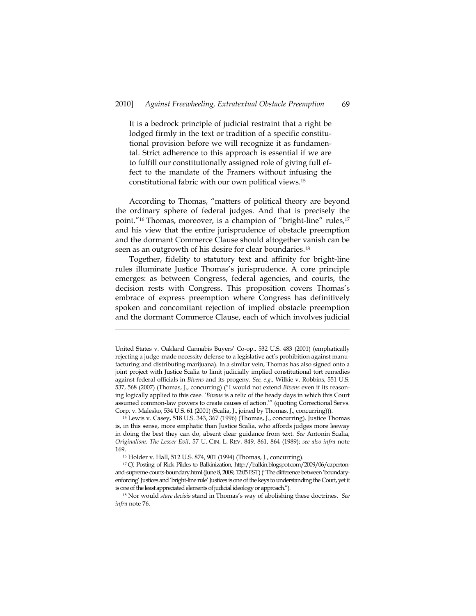It is a bedrock principle of judicial restraint that a right be lodged firmly in the text or tradition of a specific constitutional provision before we will recognize it as fundamental. Strict adherence to this approach is essential if we are to fulfill our constitutionally assigned role of giving full effect to the mandate of the Framers without infusing the constitutional fabric with our own political views.15

According to Thomas, "matters of political theory are beyond the ordinary sphere of federal judges. And that is precisely the point."<sup>16</sup> Thomas, moreover, is a champion of "bright-line" rules,<sup>17</sup> and his view that the entire jurisprudence of obstacle preemption and the dormant Commerce Clause should altogether vanish can be seen as an outgrowth of his desire for clear boundaries.<sup>18</sup>

Together, fidelity to statutory text and affinity for bright-line rules illuminate Justice Thomas's jurisprudence. A core principle emerges: as between Congress, federal agencies, and courts, the decision rests with Congress. This proposition covers Thomas's embrace of express preemption where Congress has definitively spoken and concomitant rejection of implied obstacle preemption and the dormant Commerce Clause, each of which involves judicial

United States v. Oakland Cannabis Buyers' Co-op., 532 U.S. 483 (2001) (emphatically rejecting a judge-made necessity defense to a legislative act's prohibition against manufacturing and distributing marijuana). In a similar vein, Thomas has also signed onto a joint project with Justice Scalia to limit judicially implied constitutional tort remedies against federal officials in *Bivens* and its progeny. *See, e.g.*, Wilkie v. Robbins, 551 U.S. 537, 568 (2007) (Thomas, J., concurring) ("I would not extend *Bivens* even if its reasoning logically applied to this case. '*Bivens* is a relic of the heady days in which this Court assumed common-law powers to create causes of action.'" (quoting Correctional Servs. Corp. v. Malesko, 534 U.S. 61 (2001) (Scalia, J., joined by Thomas, J., concurring))). 15 Lewis v. Casey, 518 U.S. 343, 367 (1996) (Thomas, J., concurring). Justice Thomas

is, in this sense, more emphatic than Justice Scalia, who affords judges more leeway in doing the best they can do, absent clear guidance from text. *See* Antonin Scalia, *Originalism: The Lesser Evil*, 57 U. CIN. L. REV. 849, 861, 864 (1989); *see also infra* note 169.

<sup>16</sup> Holder v. Hall, 512 U.S. 874, 901 (1994) (Thomas, J., concurring).

<sup>&</sup>lt;sup>17</sup> *Cf.* Posting of Rick Pildes to Balkinization, http://balkin.blogspot.com/2009/06/capertonand-supreme-courts-boundary.html (June 8, 2009, 12:05 EST) ("The difference between 'boundaryenforcing' Justices and 'bright-line rule' Justices is one of the keys to understanding the Court, yet it is one of the least appreciated elements of judicial ideology or approach."). 18 Nor would *stare decisis* stand in Thomas's way of abolishing these doctrines. *See* 

*infra* note 76.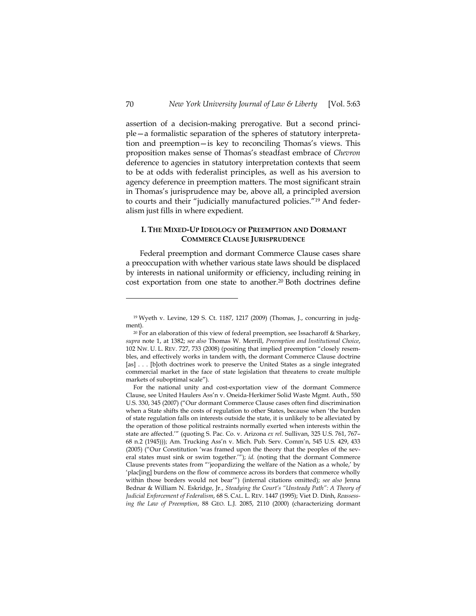assertion of a decision-making prerogative. But a second principle—a formalistic separation of the spheres of statutory interpretation and preemption—is key to reconciling Thomas's views. This proposition makes sense of Thomas's steadfast embrace of *Chevron* deference to agencies in statutory interpretation contexts that seem to be at odds with federalist principles, as well as his aversion to agency deference in preemption matters. The most significant strain in Thomas's jurisprudence may be, above all, a principled aversion to courts and their "judicially manufactured policies."19 And federalism just fills in where expedient.

## **I. THE MIXED-UP IDEOLOGY OF PREEMPTION AND DORMANT COMMERCE CLAUSE JURISPRUDENCE**

Federal preemption and dormant Commerce Clause cases share a preoccupation with whether various state laws should be displaced by interests in national uniformity or efficiency, including reining in cost exportation from one state to another.20 Both doctrines define

<sup>19</sup> Wyeth v. Levine, 129 S. Ct. 1187, 1217 (2009) (Thomas, J., concurring in judgment).

<sup>20</sup> For an elaboration of this view of federal preemption, see Issacharoff & Sharkey, *supra* note 1, at 1382; *see also* Thomas W. Merrill, *Preemption and Institutional Choice*, 102 NW. U. L. REV. 727, 733 (2008) (positing that implied preemption "closely resembles, and effectively works in tandem with, the dormant Commerce Clause doctrine [as] . . . [b]oth doctrines work to preserve the United States as a single integrated commercial market in the face of state legislation that threatens to create multiple markets of suboptimal scale").

For the national unity and cost-exportation view of the dormant Commerce Clause, see United Haulers Ass'n v. Oneida-Herkimer Solid Waste Mgmt. Auth., 550 U.S. 330, 345 (2007) ("Our dormant Commerce Clause cases often find discrimination when a State shifts the costs of regulation to other States, because when 'the burden of state regulation falls on interests outside the state, it is unlikely to be alleviated by the operation of those political restraints normally exerted when interests within the state are affected.'" (quoting S. Pac. Co. v. Arizona *ex rel.* Sullivan, 325 U.S. 761, 767– 68 n.2 (1945))); Am. Trucking Ass'n v. Mich. Pub. Serv. Comm'n, 545 U.S. 429, 433 (2005) ("Our Constitution 'was framed upon the theory that the peoples of the several states must sink or swim together.'"); *id.* (noting that the dormant Commerce Clause prevents states from "'jeopardizing the welfare of the Nation as a whole,' by 'plac[ing] burdens on the flow of commerce across its borders that commerce wholly within those borders would not bear'") (internal citations omitted); *see also* Jenna Bednar & William N. Eskridge, Jr., *Steadying the Court's "Unsteady Path": A Theory of Judicial Enforcement of Federalism*, 68 S. CAL. L. REV. 1447 (1995); Viet D. Dinh, *Reassessing the Law of Preemption*, 88 GEO. L.J. 2085, 2110 (2000) (characterizing dormant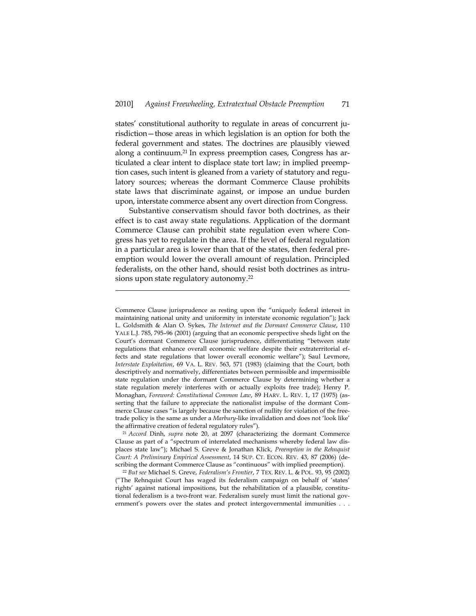states' constitutional authority to regulate in areas of concurrent jurisdiction—those areas in which legislation is an option for both the federal government and states. The doctrines are plausibly viewed along a continuum.<sup>21</sup> In express preemption cases, Congress has articulated a clear intent to displace state tort law; in implied preemption cases, such intent is gleaned from a variety of statutory and regulatory sources; whereas the dormant Commerce Clause prohibits state laws that discriminate against, or impose an undue burden upon, interstate commerce absent any overt direction from Congress.

Substantive conservatism should favor both doctrines, as their effect is to cast away state regulations. Application of the dormant Commerce Clause can prohibit state regulation even where Congress has yet to regulate in the area. If the level of federal regulation in a particular area is lower than that of the states, then federal preemption would lower the overall amount of regulation. Principled federalists, on the other hand, should resist both doctrines as intrusions upon state regulatory autonomy.22

j

Commerce Clause jurisprudence as resting upon the "uniquely federal interest in maintaining national unity and uniformity in interstate economic regulation"); Jack L. Goldsmith & Alan O. Sykes, *The Internet and the Dormant Commerce Clause*, 110 YALE L.J. 785, 795–96 (2001) (arguing that an economic perspective sheds light on the Court's dormant Commerce Clause jurisprudence, differentiating "between state regulations that enhance overall economic welfare despite their extraterritorial effects and state regulations that lower overall economic welfare"); Saul Levmore, *Interstate Exploitation*, 69 VA. L. REV. 563, 571 (1983) (claiming that the Court, both descriptively and normatively, differentiates between permissible and impermissible state regulation under the dormant Commerce Clause by determining whether a state regulation merely interferes with or actually exploits free trade); Henry P. Monaghan, *Foreword: Constitutional Common Law*, 89 HARV. L. REV. 1, 17 (1975) (asserting that the failure to appreciate the nationalist impulse of the dormant Commerce Clause cases "is largely because the sanction of nullity for violation of the freetrade policy is the same as under a *Marbury*-like invalidation and does not 'look like' the affirmative creation of federal regulatory rules").

<sup>21</sup> *Accord* Dinh, *supra* note 20, at 2097 (characterizing the dormant Commerce Clause as part of a "spectrum of interrelated mechanisms whereby federal law displaces state law"); Michael S. Greve & Jonathan Klick, *Preemption in the Rehnquist Court: A Preliminary Empirical Assessment*, 14 SUP. CT. ECON. REV. 43, 87 (2006) (de-

scribing the dormant Commerce Clause as "continuous" with implied preemption). 22 *But see* Michael S. Greve, *Federalism's Frontier*, 7 TEX. REV. L. & POL. 93, 95 (2002) ("The Rehnquist Court has waged its federalism campaign on behalf of 'states' rights' against national impositions, but the rehabilitation of a plausible, constitutional federalism is a two-front war. Federalism surely must limit the national government's powers over the states and protect intergovernmental immunities . . .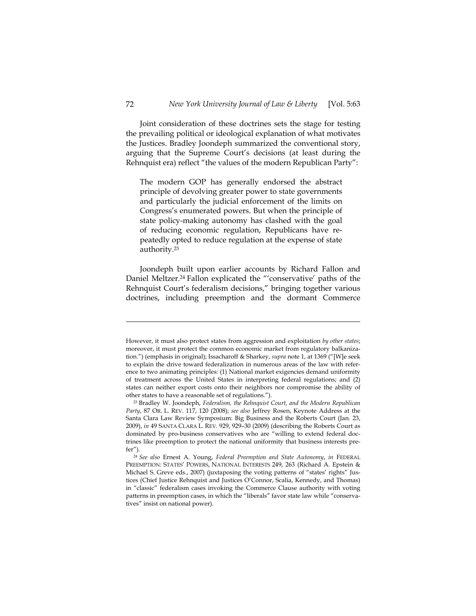Joint consideration of these doctrines sets the stage for testing the prevailing political or ideological explanation of what motivates the Justices. Bradley Joondeph summarized the conventional story, arguing that the Supreme Court's decisions (at least during the Rehnquist era) reflect "the values of the modern Republican Party":

The modern GOP has generally endorsed the abstract principle of devolving greater power to state governments and particularly the judicial enforcement of the limits on Congress's enumerated powers. But when the principle of state policy-making autonomy has clashed with the goal of reducing economic regulation, Republicans have repeatedly opted to reduce regulation at the expense of state authority.23

Joondeph built upon earlier accounts by Richard Fallon and Daniel Meltzer.24 Fallon explicated the "'conservative' paths of the Rehnquist Court's federalism decisions," bringing together various doctrines, including preemption and the dormant Commerce

However, it must also protect states from aggression and exploitation *by other states*; moreover, it must protect the common economic market from regulatory balkanization.") (emphasis in original); Issacharoff & Sharkey, *supra* note 1, at 1369 ("[W]e seek to explain the drive toward federalization in numerous areas of the law with reference to two animating principles: (1) National market exigencies demand uniformity of treatment across the United States in interpreting federal regulations; and (2) states can neither export costs onto their neighbors nor compromise the ability of other states to have a reasonable set of regulations.").

<sup>23</sup> Bradley W. Joondeph, *Federalism, the Rehnquist Court, and the Modern Republican Party*, 87 OR. L. REV. 117, 120 (2008); *see also* Jeffrey Rosen, Keynote Address at the Santa Clara Law Review Symposium: Big Business and the Roberts Court (Jan. 23, 2009), *in* 49 SANTA CLARA L. REV. 929, 929–30 (2009) (describing the Roberts Court as dominated by pro-business conservatives who are "willing to extend federal doctrines like preemption to protect the national uniformity that business interests prefer").

<sup>24</sup> *See also* Ernest A. Young, *Federal Preemption and State Autonomy*, *in* FEDERAL PREEMPTION: STATES' POWERS, NATIONAL INTERESTS 249, 263 (Richard A. Epstein & Michael S. Greve eds., 2007) (juxtaposing the voting patterns of "states' rights" Justices (Chief Justice Rehnquist and Justices O'Connor, Scalia, Kennedy, and Thomas) in "classic" federalism cases invoking the Commerce Clause authority with voting patterns in preemption cases, in which the "liberals" favor state law while "conservatives" insist on national power).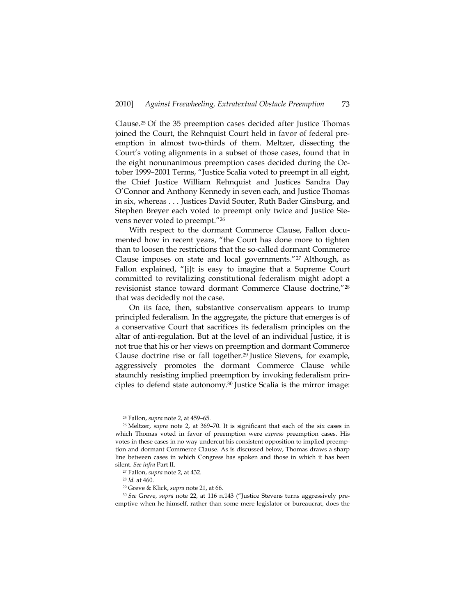Clause.25 Of the 35 preemption cases decided after Justice Thomas joined the Court, the Rehnquist Court held in favor of federal preemption in almost two-thirds of them. Meltzer, dissecting the Court's voting alignments in a subset of those cases, found that in the eight nonunanimous preemption cases decided during the October 1999–2001 Terms, "Justice Scalia voted to preempt in all eight, the Chief Justice William Rehnquist and Justices Sandra Day O'Connor and Anthony Kennedy in seven each, and Justice Thomas in six, whereas . . . Justices David Souter, Ruth Bader Ginsburg, and Stephen Breyer each voted to preempt only twice and Justice Stevens never voted to preempt."26

With respect to the dormant Commerce Clause, Fallon documented how in recent years, "the Court has done more to tighten than to loosen the restrictions that the so-called dormant Commerce Clause imposes on state and local governments."<sup>27</sup> Although, as Fallon explained, "[i]t is easy to imagine that a Supreme Court committed to revitalizing constitutional federalism might adopt a revisionist stance toward dormant Commerce Clause doctrine,"28 that was decidedly not the case.

On its face, then, substantive conservatism appears to trump principled federalism. In the aggregate, the picture that emerges is of a conservative Court that sacrifices its federalism principles on the altar of anti-regulation. But at the level of an individual Justice, it is not true that his or her views on preemption and dormant Commerce Clause doctrine rise or fall together.29 Justice Stevens, for example, aggressively promotes the dormant Commerce Clause while staunchly resisting implied preemption by invoking federalism principles to defend state autonomy.30 Justice Scalia is the mirror image:

<sup>25</sup> Fallon, *supra* note 2, at 459–65.

<sup>26</sup> Meltzer, *supra* note 2, at 369–70. It is significant that each of the six cases in which Thomas voted in favor of preemption were *express* preemption cases. His votes in these cases in no way undercut his consistent opposition to implied preemption and dormant Commerce Clause. As is discussed below, Thomas draws a sharp line between cases in which Congress has spoken and those in which it has been silent. *See infra* Part II. 27 Fallon, *supra* note 2, at 432. 28 *Id.* at 460.

<sup>&</sup>lt;sup>29</sup> Greve & Klick, *supra* note 21, at 66.<br><sup>30</sup> *See* Greve, *supra* note 22, at 116 n.143 ("Justice Stevens turns aggressively preemptive when he himself, rather than some mere legislator or bureaucrat, does the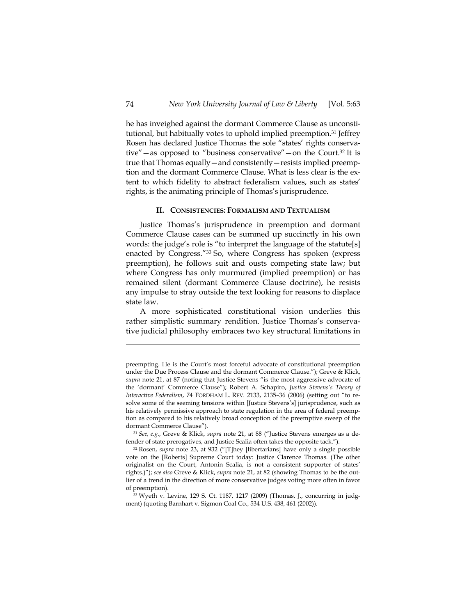he has inveighed against the dormant Commerce Clause as unconstitutional, but habitually votes to uphold implied preemption.31 Jeffrey Rosen has declared Justice Thomas the sole "states' rights conservative"—as opposed to "business conservative"—on the Court.32 It is true that Thomas equally—and consistently—resists implied preemption and the dormant Commerce Clause. What is less clear is the extent to which fidelity to abstract federalism values, such as states' rights, is the animating principle of Thomas's jurisprudence.

#### **II. CONSISTENCIES: FORMALISM AND TEXTUALISM**

Justice Thomas's jurisprudence in preemption and dormant Commerce Clause cases can be summed up succinctly in his own words: the judge's role is "to interpret the language of the statute[s] enacted by Congress."33 So, where Congress has spoken (express preemption), he follows suit and ousts competing state law; but where Congress has only murmured (implied preemption) or has remained silent (dormant Commerce Clause doctrine), he resists any impulse to stray outside the text looking for reasons to displace state law.

A more sophisticated constitutional vision underlies this rather simplistic summary rendition. Justice Thomas's conservative judicial philosophy embraces two key structural limitations in

preempting. He is the Court's most forceful advocate of constitutional preemption under the Due Process Clause and the dormant Commerce Clause."); Greve & Klick, *supra* note 21, at 87 (noting that Justice Stevens "is the most aggressive advocate of the 'dormant' Commerce Clause"); Robert A. Schapiro, *Justice Stevens's Theory of Interactive Federalism*, 74 FORDHAM L. REV. 2133, 2135–36 (2006) (setting out "to resolve some of the seeming tensions within [Justice Stevens's] jurisprudence, such as his relatively permissive approach to state regulation in the area of federal preemption as compared to his relatively broad conception of the preemptive sweep of the dormant Commerce Clause").

<sup>31</sup> *See, e.g.*, Greve & Klick, *supra* note 21, at 88 ("Justice Stevens emerges as a defender of state prerogatives, and Justice Scalia often takes the opposite tack."). 32 Rosen, *supra* note 23, at 932 ("[T]hey [libertarians] have only a single possible

vote on the [Roberts] Supreme Court today: Justice Clarence Thomas. (The other originalist on the Court, Antonin Scalia, is not a consistent supporter of states' rights.)"); *see also* Greve & Klick, *supra* note 21, at 82 (showing Thomas to be the outlier of a trend in the direction of more conservative judges voting more often in favor of preemption).<br><sup>33</sup> Wyeth v. Levine, 129 S. Ct. 1187, 1217 (2009) (Thomas, J., concurring in judg-

ment) (quoting Barnhart v. Sigmon Coal Co., 534 U.S. 438, 461 (2002)).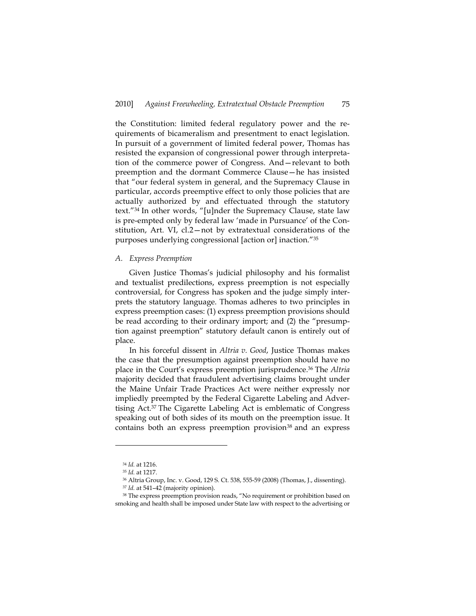the Constitution: limited federal regulatory power and the requirements of bicameralism and presentment to enact legislation. In pursuit of a government of limited federal power, Thomas has resisted the expansion of congressional power through interpretation of the commerce power of Congress. And—relevant to both preemption and the dormant Commerce Clause—he has insisted that "our federal system in general, and the Supremacy Clause in particular, accords preemptive effect to only those policies that are actually authorized by and effectuated through the statutory text."34 In other words, "[u]nder the Supremacy Clause, state law is pre-empted only by federal law 'made in Pursuance' of the Constitution, Art. VI, cl.2—not by extratextual considerations of the purposes underlying congressional [action or] inaction."35

## *A. Express Preemption*

Given Justice Thomas's judicial philosophy and his formalist and textualist predilections, express preemption is not especially controversial, for Congress has spoken and the judge simply interprets the statutory language. Thomas adheres to two principles in express preemption cases: (1) express preemption provisions should be read according to their ordinary import; and (2) the "presumption against preemption" statutory default canon is entirely out of place.

In his forceful dissent in *Altria v. Good*, Justice Thomas makes the case that the presumption against preemption should have no place in the Court's express preemption jurisprudence.36 The *Altria* majority decided that fraudulent advertising claims brought under the Maine Unfair Trade Practices Act were neither expressly nor impliedly preempted by the Federal Cigarette Labeling and Advertising Act.37 The Cigarette Labeling Act is emblematic of Congress speaking out of both sides of its mouth on the preemption issue. It contains both an express preemption provision<sup>38</sup> and an express

<sup>&</sup>lt;sup>34</sup> *Id.* at 1216.<br><sup>35</sup> *Id.* at 1217.<br><sup>36</sup> Altria Group, Inc. v. Good, 129 S. Ct. 538, 555-59 (2008) (Thomas, J., dissenting).

<sup>&</sup>lt;sup>37</sup> *Id.* at 541–42 (majority opinion).<br><sup>38</sup> The express preemption provision reads, "No requirement or prohibition based on

smoking and health shall be imposed under State law with respect to the advertising or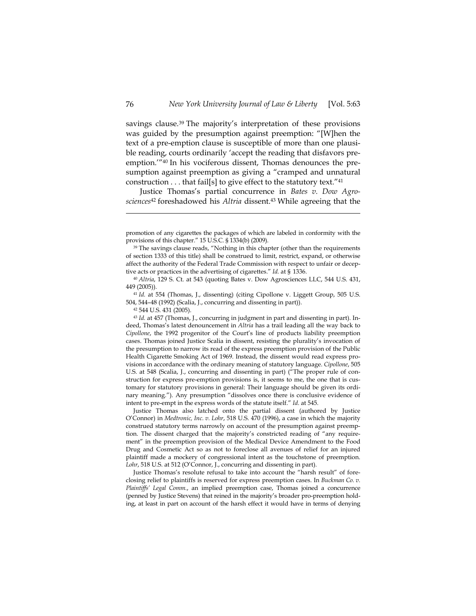savings clause.<sup>39</sup> The majority's interpretation of these provisions was guided by the presumption against preemption: "[W]hen the text of a pre-emption clause is susceptible of more than one plausible reading, courts ordinarily 'accept the reading that disfavors preemption.'"40 In his vociferous dissent, Thomas denounces the presumption against preemption as giving a "cramped and unnatural construction  $\dots$  that fail[s] to give effect to the statutory text."<sup>41</sup>

Justice Thomas's partial concurrence in *Bates v. Dow Agrosciences*42 foreshadowed his *Altria* dissent.43 While agreeing that the

Justice Thomas also latched onto the partial dissent (authored by Justice O'Connor) in *Medtronic, Inc. v. Lohr*, 518 U.S. 470 (1996), a case in which the majority construed statutory terms narrowly on account of the presumption against preemption. The dissent charged that the majority's constricted reading of "any requirement" in the preemption provision of the Medical Device Amendment to the Food Drug and Cosmetic Act so as not to foreclose all avenues of relief for an injured plaintiff made a mockery of congressional intent as the touchstone of preemption. Lohr, 518 U.S. at 512 (O'Connor, J., concurring and dissenting in part).

Justice Thomas's resolute refusal to take into account the "harsh result" of foreclosing relief to plaintiffs is reserved for express preemption cases. In *Buckman Co. v. Plaintiffs' Legal Comm.*, an implied preemption case, Thomas joined a concurrence (penned by Justice Stevens) that reined in the majority's broader pro-preemption holding, at least in part on account of the harsh effect it would have in terms of denying

promotion of any cigarettes the packages of which are labeled in conformity with the provisions of this chapter." 15 U.S.C. § 1334(b) (2009).<br><sup>39</sup> The savings clause reads, "Nothing in this chapter (other than the requirements

of section 1333 of this title) shall be construed to limit, restrict, expand, or otherwise affect the authority of the Federal Trade Commission with respect to unfair or deceptive acts or practices in the advertising of cigarettes." *Id.* at § 1336.

<sup>40</sup> *Altria*, 129 S. Ct. at 543 (quoting Bates v. Dow Agrosciences LLC, 544 U.S. 431, 449 (2005)). 41 *Id.* at 554 (Thomas, J., dissenting) (citing Cipollone v. Liggett Group, 505 U.S.

<sup>504, 544–48 (1992) (</sup>Scalia, J., concurring and dissenting in part)).

<sup>42 544</sup> U.S. 431 (2005).

<sup>43</sup> *Id.* at 457 (Thomas, J., concurring in judgment in part and dissenting in part). Indeed, Thomas's latest denouncement in *Altria* has a trail leading all the way back to *Cipollone*, the 1992 progenitor of the Court's line of products liability preemption cases. Thomas joined Justice Scalia in dissent, resisting the plurality's invocation of the presumption to narrow its read of the express preemption provision of the Public Health Cigarette Smoking Act of 1969. Instead, the dissent would read express provisions in accordance with the ordinary meaning of statutory language. *Cipollone*, 505 U.S. at 548 (Scalia, J., concurring and dissenting in part) ("The proper rule of construction for express pre-emption provisions is, it seems to me, the one that is customary for statutory provisions in general: Their language should be given its ordinary meaning."). Any presumption "dissolves once there is conclusive evidence of intent to pre-empt in the express words of the statute itself." *Id.* at 545.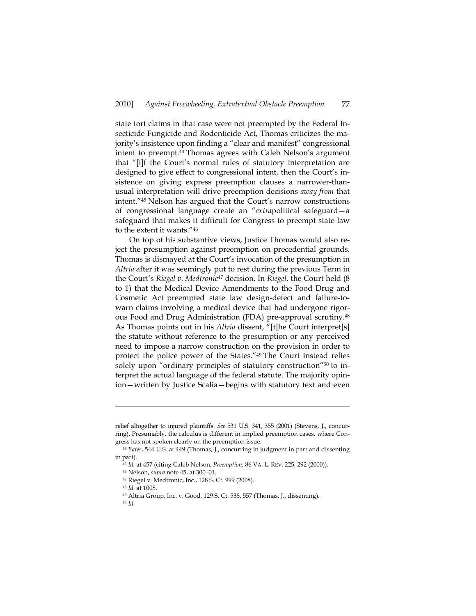state tort claims in that case were not preempted by the Federal Insecticide Fungicide and Rodenticide Act, Thomas criticizes the majority's insistence upon finding a "clear and manifest" congressional intent to preempt.<sup>44</sup> Thomas agrees with Caleb Nelson's argument that "[i]f the Court's normal rules of statutory interpretation are designed to give effect to congressional intent, then the Court's insistence on giving express preemption clauses a narrower-thanusual interpretation will drive preemption decisions *away from* that intent."45 Nelson has argued that the Court's narrow constructions of congressional language create an "*extra*political safeguard—a safeguard that makes it difficult for Congress to preempt state law to the extent it wants."46

On top of his substantive views, Justice Thomas would also reject the presumption against preemption on precedential grounds. Thomas is dismayed at the Court's invocation of the presumption in *Altria* after it was seemingly put to rest during the previous Term in the Court's *Riegel v. Medtronic*47 decision. In *Riegel*, the Court held (8 to 1) that the Medical Device Amendments to the Food Drug and Cosmetic Act preempted state law design-defect and failure-towarn claims involving a medical device that had undergone rigorous Food and Drug Administration (FDA) pre-approval scrutiny.48 As Thomas points out in his *Altria* dissent, "[t]he Court interpret[s] the statute without reference to the presumption or any perceived need to impose a narrow construction on the provision in order to protect the police power of the States."49 The Court instead relies solely upon "ordinary principles of statutory construction"<sup>50</sup> to interpret the actual language of the federal statute. The majority opinion—written by Justice Scalia—begins with statutory text and even

relief altogether to injured plaintiffs. *See* 531 U.S. 341, 355 (2001) (Stevens, J., concurring). Presumably, the calculus is different in implied preemption cases, where Congress has not spoken clearly on the preemption issue.

<sup>44</sup> *Bates*, 544 U.S. at 449 (Thomas, J., concurring in judgment in part and dissenting in part).

<sup>45</sup> *Id.* at 457 (citing Caleb Nelson, *Preemption*, 86 VA. L. REV. 225, 292 (2000)). 46 Nelson, *supra* note 45, at 300–01. 47 Riegel v. Medtronic, Inc., 128 S. Ct. 999 (2008).

<sup>48</sup> *Id.* at 1008.<br><sup>49</sup> Altria Group, Inc. v. Good, 129 S. Ct. 538, 557 (Thomas, J., dissenting).

<sup>50</sup> *Id.*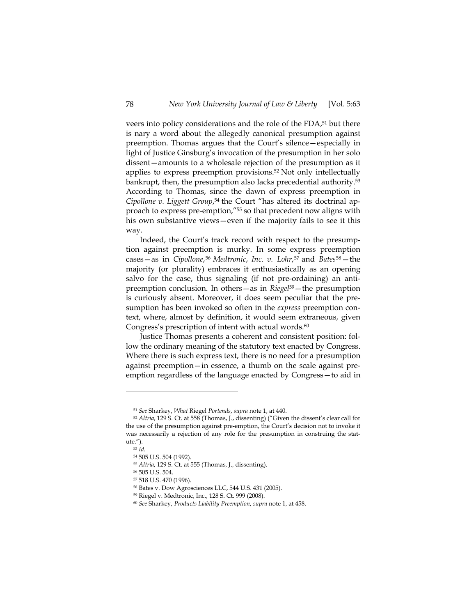veers into policy considerations and the role of the FDA,<sup>51</sup> but there is nary a word about the allegedly canonical presumption against preemption. Thomas argues that the Court's silence—especially in light of Justice Ginsburg's invocation of the presumption in her solo dissent—amounts to a wholesale rejection of the presumption as it applies to express preemption provisions.52 Not only intellectually bankrupt, then, the presumption also lacks precedential authority.53 According to Thomas, since the dawn of express preemption in *Cipollone v. Liggett Group*, 54 the Court "has altered its doctrinal approach to express pre-emption,"55 so that precedent now aligns with his own substantive views—even if the majority fails to see it this way.

Indeed, the Court's track record with respect to the presumption against preemption is murky. In some express preemption cases—as in *Cipollone*,56 *Medtronic*, *Inc. v. Lohr*,57 and *Bates*58—the majority (or plurality) embraces it enthusiastically as an opening salvo for the case, thus signaling (if not pre-ordaining) an antipreemption conclusion. In others—as in *Riegel*59—the presumption is curiously absent. Moreover, it does seem peculiar that the presumption has been invoked so often in the *express* preemption context, where, almost by definition, it would seem extraneous, given Congress's prescription of intent with actual words.<sup>60</sup>

Justice Thomas presents a coherent and consistent position: follow the ordinary meaning of the statutory text enacted by Congress. Where there is such express text, there is no need for a presumption against preemption—in essence, a thumb on the scale against preemption regardless of the language enacted by Congress—to aid in

<sup>51</sup> *See* Sharkey, *What* Riegel *Portends*, *supra* note 1, at 440. 52 *Altria*, 129 S. Ct. at 558 (Thomas, J., dissenting) ("Given the dissent's clear call for the use of the presumption against pre-emption, the Court's decision not to invoke it was necessarily a rejection of any role for the presumption in construing the statute.").

<sup>53</sup> *Id.*

<sup>54 505</sup> U.S. 504 (1992).

<sup>55</sup> *Altria*, 129 S. Ct. at 555 (Thomas, J., dissenting).<br><sup>56</sup> 505 U.S. 504.

<sup>57 518</sup> U.S. 470 (1996).

<sup>58</sup> Bates v. Dow Agrosciences LLC, 544 U.S. 431 (2005).

<sup>59</sup> Riegel v. Medtronic, Inc., 128 S. Ct. 999 (2008).

<sup>60</sup> *See* Sharkey, *Products Liability Preemption*, *supra* note 1, at 458.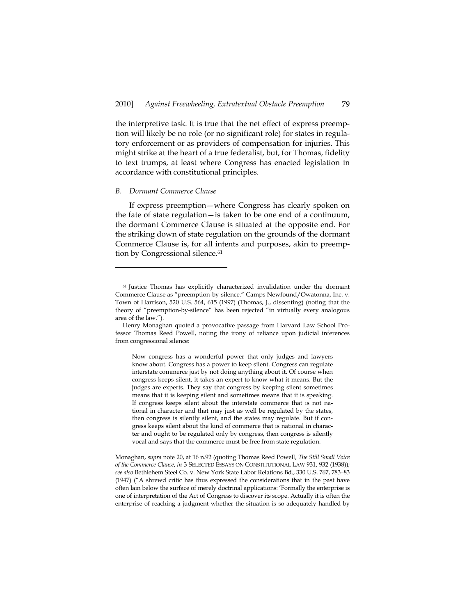the interpretive task. It is true that the net effect of express preemption will likely be no role (or no significant role) for states in regulatory enforcement or as providers of compensation for injuries. This might strike at the heart of a true federalist, but, for Thomas, fidelity to text trumps, at least where Congress has enacted legislation in accordance with constitutional principles.

#### *B. Dormant Commerce Clause*

-

If express preemption—where Congress has clearly spoken on the fate of state regulation—is taken to be one end of a continuum, the dormant Commerce Clause is situated at the opposite end. For the striking down of state regulation on the grounds of the dormant Commerce Clause is, for all intents and purposes, akin to preemption by Congressional silence.<sup>61</sup>

Now congress has a wonderful power that only judges and lawyers know about. Congress has a power to keep silent. Congress can regulate interstate commerce just by not doing anything about it. Of course when congress keeps silent, it takes an expert to know what it means. But the judges are experts. They say that congress by keeping silent sometimes means that it is keeping silent and sometimes means that it is speaking. If congress keeps silent about the interstate commerce that is not national in character and that may just as well be regulated by the states, then congress is silently silent, and the states may regulate. But if congress keeps silent about the kind of commerce that is national in character and ought to be regulated only by congress, then congress is silently vocal and says that the commerce must be free from state regulation.

<sup>61</sup> Justice Thomas has explicitly characterized invalidation under the dormant Commerce Clause as "preemption-by-silence." Camps Newfound/Owatonna, Inc. v. Town of Harrison, 520 U.S. 564, 615 (1997) (Thomas, J., dissenting) (noting that the theory of "preemption-by-silence" has been rejected "in virtually every analogous area of the law.").

Henry Monaghan quoted a provocative passage from Harvard Law School Professor Thomas Reed Powell, noting the irony of reliance upon judicial inferences from congressional silence:

Monaghan, *supra* note 20, at 16 n.92 (quoting Thomas Reed Powell, *The Still Small Voice of the Commerce Clause*, *in* 3 SELECTED ESSAYS ON CONSTITUTIONAL LAW 931, 932 (1938)); *see also* Bethlehem Steel Co. v. New York State Labor Relations Bd., 330 U.S. 767, 783–83 (1947) ("A shrewd critic has thus expressed the considerations that in the past have often lain below the surface of merely doctrinal applications: 'Formally the enterprise is one of interpretation of the Act of Congress to discover its scope. Actually it is often the enterprise of reaching a judgment whether the situation is so adequately handled by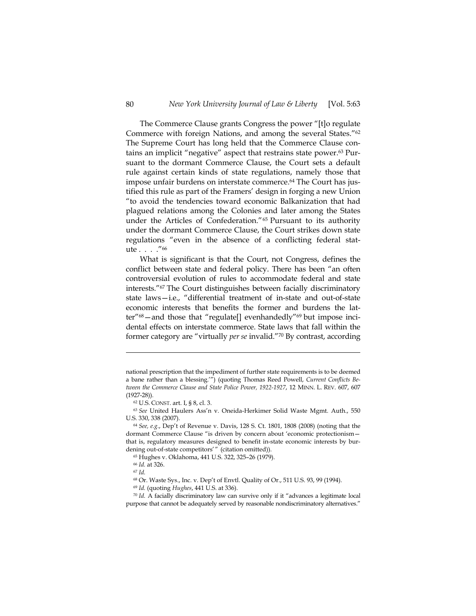The Commerce Clause grants Congress the power "[t]o regulate Commerce with foreign Nations, and among the several States."62 The Supreme Court has long held that the Commerce Clause contains an implicit "negative" aspect that restrains state power.63 Pursuant to the dormant Commerce Clause, the Court sets a default rule against certain kinds of state regulations, namely those that impose unfair burdens on interstate commerce.<sup>64</sup> The Court has justified this rule as part of the Framers' design in forging a new Union "to avoid the tendencies toward economic Balkanization that had plagued relations among the Colonies and later among the States under the Articles of Confederation."65 Pursuant to its authority under the dormant Commerce Clause, the Court strikes down state regulations "even in the absence of a conflicting federal statute . . . ."66

What is significant is that the Court, not Congress, defines the conflict between state and federal policy. There has been "an often controversial evolution of rules to accommodate federal and state interests."67 The Court distinguishes between facially discriminatory state laws—i.e., "differential treatment of in-state and out-of-state economic interests that benefits the former and burdens the latter"68—and those that "regulate[] evenhandedly"69 but impose incidental effects on interstate commerce. State laws that fall within the former category are "virtually *per se* invalid."70 By contrast, according

65 Hughes v. Oklahoma, 441 U.S. 322, 325–26 (1979).

 $\overline{a}$ 

<sup>66</sup> *Id.* at 326.<br><sup>67</sup> *Id.*<br><sup>68</sup> Or. Waste Sys., Inc. v. Dep't of Envtl. Quality of Or., 511 U.S. 93, 99 (1994).

<sup>69</sup> *Id.* (quoting *Hughes*, 441 U.S. at 336). 70 *Id.* A facially discriminatory law can survive only if it "advances a legitimate local purpose that cannot be adequately served by reasonable nondiscriminatory alternatives."

national prescription that the impediment of further state requirements is to be deemed a bane rather than a blessing.'") (quoting Thomas Reed Powell, *Current Conflicts Between the Commerce Clause and State Police Power, 1922-1927*, 12 MINN. L. REV. 607, 607 (1927-28)). 62 U.S. CONST. art. I, § 8, cl. 3.

<sup>63</sup> *See* United Haulers Ass'n v. Oneida-Herkimer Solid Waste Mgmt. Auth., 550

U.S. 330, 338 (2007). 64 *See, e.g.*, Dep't of Revenue v. Davis, 128 S. Ct. 1801, 1808 (2008) (noting that the dormant Commerce Clause "is driven by concern about 'economic protectionism that is, regulatory measures designed to benefit in-state economic interests by burdening out-of-state competitors'" (citation omitted)).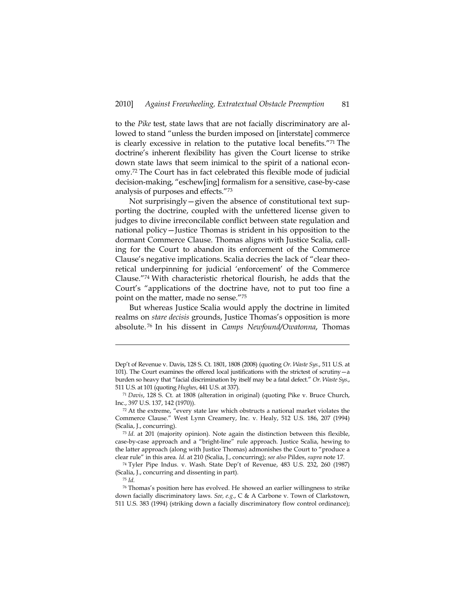to the *Pike* test, state laws that are not facially discriminatory are allowed to stand "unless the burden imposed on [interstate] commerce is clearly excessive in relation to the putative local benefits."71 The doctrine's inherent flexibility has given the Court license to strike down state laws that seem inimical to the spirit of a national economy.72 The Court has in fact celebrated this flexible mode of judicial decision-making, "eschew[ing] formalism for a sensitive, case-by-case analysis of purposes and effects."73

Not surprisingly—given the absence of constitutional text supporting the doctrine, coupled with the unfettered license given to judges to divine irreconcilable conflict between state regulation and national policy—Justice Thomas is strident in his opposition to the dormant Commerce Clause. Thomas aligns with Justice Scalia, calling for the Court to abandon its enforcement of the Commerce Clause's negative implications. Scalia decries the lack of "clear theoretical underpinning for judicial 'enforcement' of the Commerce Clause."74 With characteristic rhetorical flourish, he adds that the Court's "applications of the doctrine have, not to put too fine a point on the matter, made no sense."75

But whereas Justice Scalia would apply the doctrine in limited realms on *stare decisis* grounds, Justice Thomas's opposition is more absolute. 76 In his dissent in *Camps Newfound/Owatonna*, Thomas

Dep't of Revenue v. Davis, 128 S. Ct. 1801, 1808 (2008) (quoting *Or. Waste Sys.*, 511 U.S. at 101). The Court examines the offered local justifications with the strictest of scrutiny—a burden so heavy that "facial discrimination by itself may be a fatal defect." *Or. Waste Sys.*, 511 U.S. at 101 (quoting *Hughes*, 441 U.S. at 337). 71 *Davis*, 128 S. Ct. at 1808 (alteration in original) (quoting Pike v. Bruce Church,

Inc., 397 U.S. 137, 142 (1970)).

<sup>72</sup> At the extreme, "every state law which obstructs a national market violates the Commerce Clause." West Lynn Creamery, Inc. v. Healy, 512 U.S. 186, 207 (1994) (Scalia, J., concurring).

<sup>73</sup> *Id.* at 201 (majority opinion). Note again the distinction between this flexible, case-by-case approach and a "bright-line" rule approach. Justice Scalia, hewing to the latter approach (along with Justice Thomas) admonishes the Court to "produce a clear rule" in this area. *Id.* at 210 (Scalia, J., concurring); *see also* Pildes, *supra* note 17.

<sup>74</sup> Tyler Pipe Indus. v. Wash. State Dep't of Revenue, 483 U.S. 232, 260 (1987) (Scalia, J., concurring and dissenting in part).

<sup>75</sup> *Id.*

<sup>76</sup> Thomas's position here has evolved. He showed an earlier willingness to strike down facially discriminatory laws. *See, e.g.*, C & A Carbone v. Town of Clarkstown, 511 U.S. 383 (1994) (striking down a facially discriminatory flow control ordinance);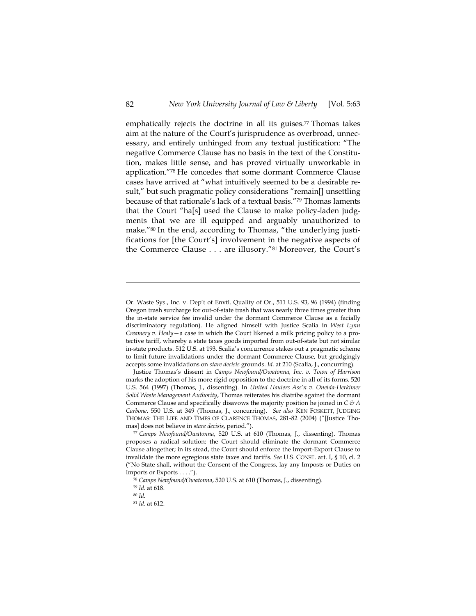emphatically rejects the doctrine in all its guises. $77$  Thomas takes aim at the nature of the Court's jurisprudence as overbroad, unnecessary, and entirely unhinged from any textual justification: "The negative Commerce Clause has no basis in the text of the Constitution, makes little sense, and has proved virtually unworkable in application."78 He concedes that some dormant Commerce Clause cases have arrived at "what intuitively seemed to be a desirable result," but such pragmatic policy considerations "remain[] unsettling because of that rationale's lack of a textual basis."79 Thomas laments that the Court "ha[s] used the Clause to make policy-laden judgments that we are ill equipped and arguably unauthorized to make."80 In the end, according to Thomas, "the underlying justifications for [the Court's] involvement in the negative aspects of the Commerce Clause . . . are illusory."81 Moreover, the Court's

Or. Waste Sys., Inc. v. Dep't of Envtl. Quality of Or., 511 U.S. 93, 96 (1994) (finding Oregon trash surcharge for out-of-state trash that was nearly three times greater than the in-state service fee invalid under the dormant Commerce Clause as a facially discriminatory regulation). He aligned himself with Justice Scalia in *West Lynn Creamery v. Healy*—a case in which the Court likened a milk pricing policy to a protective tariff, whereby a state taxes goods imported from out-of-state but not similar in-state products. 512 U.S. at 193. Scalia's concurrence stakes out a pragmatic scheme to limit future invalidations under the dormant Commerce Clause, but grudgingly accepts some invalidations on *stare decisis* grounds. *Id.* at 210 (Scalia, J., concurring).

Justice Thomas's dissent in *Camps Newfound/Owatonna, Inc. v. Town of Harrison* marks the adoption of his more rigid opposition to the doctrine in all of its forms. 520 U.S. 564 (1997) (Thomas, J., dissenting). In *United Haulers Ass'n v. Oneida-Herkimer Solid Waste Management Authority*, Thomas reiterates his diatribe against the dormant Commerce Clause and specifically disavows the majority position he joined in *C & A Carbone*. 550 U.S. at 349 (Thomas, J., concurring). *See also* KEN FOSKETT, JUDGING THOMAS: THE LIFE AND TIMES OF CLARENCE THOMAS, 281-82 (2004) ("[Justice Thomas] does not believe in *stare decisis*, period.").

<sup>77</sup> *Camps Newfound/Owatonna*, 520 U.S. at 610 (Thomas, J., dissenting). Thomas proposes a radical solution: the Court should eliminate the dormant Commerce Clause altogether; in its stead, the Court should enforce the Import-Export Clause to invalidate the more egregious state taxes and tariffs. *See* U.S. CONST. art. I, § 10, cl. 2 ("No State shall, without the Consent of the Congress, lay any Imposts or Duties on Imports or Exports . . . .").

<sup>78</sup> *Camps Newfound/Owatonna*, 520 U.S. at 610 (Thomas, J., dissenting).

<sup>79</sup> *Id.* at 618. 80 *Id.*

<sup>81</sup> *Id.* at 612.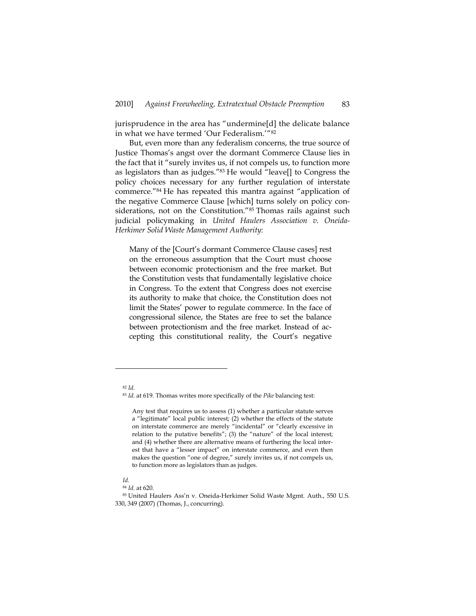jurisprudence in the area has "undermine[d] the delicate balance in what we have termed 'Our Federalism.'"82

But, even more than any federalism concerns, the true source of Justice Thomas's angst over the dormant Commerce Clause lies in the fact that it "surely invites us, if not compels us, to function more as legislators than as judges."<sup>83</sup> He would "leave[] to Congress the policy choices necessary for any further regulation of interstate commerce."84 He has repeated this mantra against "application of the negative Commerce Clause [which] turns solely on policy considerations, not on the Constitution."<sup>85</sup> Thomas rails against such judicial policymaking in *United Haulers Association v. Oneida-Herkimer Solid Waste Management Authority*:

Many of the [Court's dormant Commerce Clause cases] rest on the erroneous assumption that the Court must choose between economic protectionism and the free market. But the Constitution vests that fundamentally legislative choice in Congress. To the extent that Congress does not exercise its authority to make that choice, the Constitution does not limit the States' power to regulate commerce. In the face of congressional silence, the States are free to set the balance between protectionism and the free market. Instead of accepting this constitutional reality, the Court's negative

<sup>82</sup> *Id.*

<sup>83</sup> *Id.* at 619. Thomas writes more specifically of the *Pike* balancing test:

Any test that requires us to assess (1) whether a particular statute serves a "legitimate" local public interest; (2) whether the effects of the statute on interstate commerce are merely "incidental" or "clearly excessive in relation to the putative benefits"; (3) the "nature" of the local interest; and (4) whether there are alternative means of furthering the local interest that have a "lesser impact" on interstate commerce, and even then makes the question "one of degree," surely invites us, if not compels us, to function more as legislators than as judges.

*Id.* 

<sup>84</sup> *Id.* at 620.<br><sup>85</sup> United Haulers Ass'n v. Oneida-Herkimer Solid Waste Mgmt. Auth., 550 U.S. 330, 349 (2007) (Thomas, J., concurring).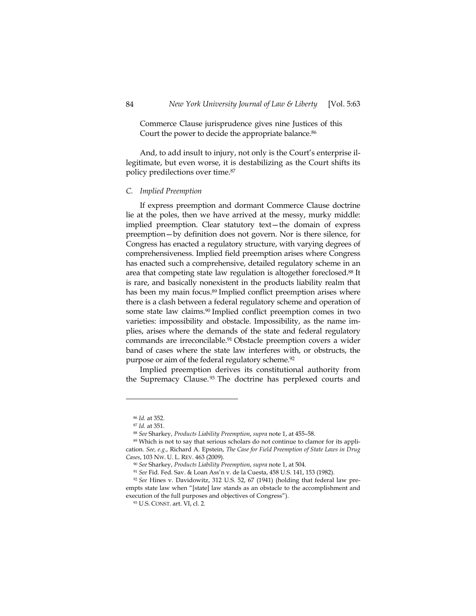Commerce Clause jurisprudence gives nine Justices of this Court the power to decide the appropriate balance.<sup>86</sup>

And, to add insult to injury, not only is the Court's enterprise illegitimate, but even worse, it is destabilizing as the Court shifts its policy predilections over time.87

### *C. Implied Preemption*

If express preemption and dormant Commerce Clause doctrine lie at the poles, then we have arrived at the messy, murky middle: implied preemption. Clear statutory text—the domain of express preemption—by definition does not govern. Nor is there silence, for Congress has enacted a regulatory structure, with varying degrees of comprehensiveness. Implied field preemption arises where Congress has enacted such a comprehensive, detailed regulatory scheme in an area that competing state law regulation is altogether foreclosed.<sup>88</sup> It is rare, and basically nonexistent in the products liability realm that has been my main focus.<sup>89</sup> Implied conflict preemption arises where there is a clash between a federal regulatory scheme and operation of some state law claims.<sup>90</sup> Implied conflict preemption comes in two varieties: impossibility and obstacle. Impossibility, as the name implies, arises where the demands of the state and federal regulatory commands are irreconcilable.91 Obstacle preemption covers a wider band of cases where the state law interferes with, or obstructs, the purpose or aim of the federal regulatory scheme.<sup>92</sup>

Implied preemption derives its constitutional authority from the Supremacy Clause.<sup>93</sup> The doctrine has perplexed courts and

<sup>&</sup>lt;sup>86</sup> *Id.* at 352.<br><sup>87</sup> *Id.* at 351.

<sup>&</sup>lt;sup>88</sup> *See* Sharkey, *Products Liability Preemption*, *supra* note 1, at 455–58. 89 Which is not to say that serious scholars do not continue to clamor for its application. *See, e.g.*, Richard A. Epstein, *The Case for Field Preemption of State Laws in Drug*  Cases, 103 Nw. U. L. REV. 463 (2009).<br><sup>90</sup> See Sharkey, *Products Liability Preemption, supra* note 1, at 504.<br><sup>91</sup> See Fid. Fed. Sav. & Loan Ass'n v. de la Cuesta, 458 U.S. 141, 153 (1982).<br><sup>92</sup> See Hines v. Davidowitz, 3

empts state law when "[state] law stands as an obstacle to the accomplishment and execution of the full purposes and objectives of Congress").

<sup>93</sup> U.S. CONST. art. VI, cl. 2.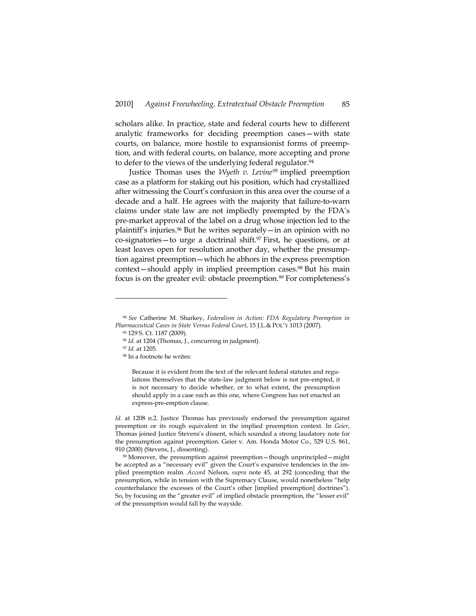scholars alike. In practice, state and federal courts hew to different analytic frameworks for deciding preemption cases—with state courts, on balance, more hostile to expansionist forms of preemption, and with federal courts, on balance, more accepting and prone to defer to the views of the underlying federal regulator.<sup>94</sup>

Justice Thomas uses the *Wyeth v. Levine*95 implied preemption case as a platform for staking out his position, which had crystallized after witnessing the Court's confusion in this area over the course of a decade and a half. He agrees with the majority that failure-to-warn claims under state law are not impliedly preempted by the FDA's pre-market approval of the label on a drug whose injection led to the plaintiff's injuries.96 But he writes separately—in an opinion with no co-signatories—to urge a doctrinal shift.<sup>97</sup> First, he questions, or at least leaves open for resolution another day, whether the presumption against preemption—which he abhors in the express preemption context—should apply in implied preemption cases.<sup>98</sup> But his main focus is on the greater evil: obstacle preemption.<sup>99</sup> For completeness's

-

Because it is evident from the text of the relevant federal statutes and regulations themselves that the state-law judgment below is not pre-empted, it is not necessary to decide whether, or to what extent, the presumption should apply in a case such as this one, where Congress has not enacted an express-pre-emption clause.

*Id.* at 1208 n.2. Justice Thomas has previously endorsed the presumption against preemption or its rough equivalent in the implied preemption context. In *Geier*, Thomas joined Justice Stevens's dissent, which sounded a strong laudatory note for the presumption against preemption. Geier v. Am. Honda Motor Co., 529 U.S. 861, 910 (2000) (Stevens, J., dissenting).

99 Moreover, the presumption against preemption—though unprincipled—might be accepted as a "necessary evil" given the Court's expansive tendencies in the implied preemption realm. *Accord* Nelson, *supra* note 45, at 292 (conceding that the presumption, while in tension with the Supremacy Clause, would nonetheless "help counterbalance the excesses of the Court's other [implied preemption] doctrines"). So, by focusing on the "greater evil" of implied obstacle preemption, the "lesser evil" of the presumption would fall by the wayside.

<sup>94</sup> *See* Catherine M. Sharkey, *Federalism in Action: FDA Regulatory Preemption in Pharmaceutical Cases in State Versus Federal Court*, 15 J.L.& POL'Y 1013 (2007). 95 129 S. Ct. 1187 (2009).

<sup>96</sup> *Id.* at 1204 (Thomas, J., concurring in judgment). 97 *Id.* at 1205.

<sup>98</sup> In a footnote he writes: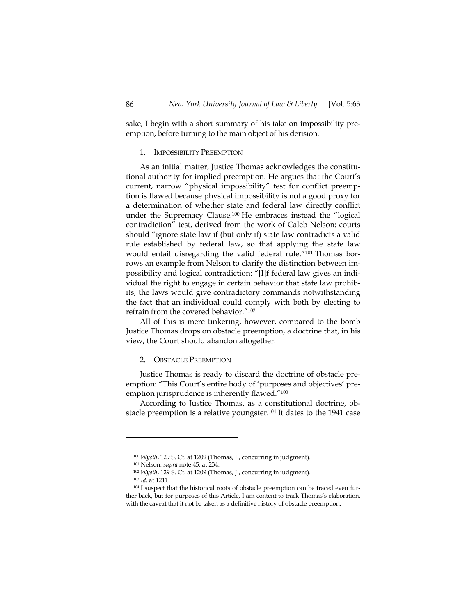sake, I begin with a short summary of his take on impossibility preemption, before turning to the main object of his derision.

#### 1. IMPOSSIBILITY PREEMPTION

As an initial matter, Justice Thomas acknowledges the constitutional authority for implied preemption. He argues that the Court's current, narrow "physical impossibility" test for conflict preemption is flawed because physical impossibility is not a good proxy for a determination of whether state and federal law directly conflict under the Supremacy Clause.100 He embraces instead the "logical contradiction" test, derived from the work of Caleb Nelson: courts should "ignore state law if (but only if) state law contradicts a valid rule established by federal law, so that applying the state law would entail disregarding the valid federal rule."101 Thomas borrows an example from Nelson to clarify the distinction between impossibility and logical contradiction: "[I]f federal law gives an individual the right to engage in certain behavior that state law prohibits, the laws would give contradictory commands notwithstanding the fact that an individual could comply with both by electing to refrain from the covered behavior."102

All of this is mere tinkering, however, compared to the bomb Justice Thomas drops on obstacle preemption, a doctrine that, in his view, the Court should abandon altogether.

#### 2. OBSTACLE PREEMPTION

Justice Thomas is ready to discard the doctrine of obstacle preemption: "This Court's entire body of 'purposes and objectives' preemption jurisprudence is inherently flawed."103

According to Justice Thomas, as a constitutional doctrine, obstacle preemption is a relative youngster.104 It dates to the 1941 case

<sup>&</sup>lt;sup>100</sup> *Wyeth*, 129 S. Ct. at 1209 (Thomas, J., concurring in judgment).<br><sup>101</sup> Nelson, *supra* note 45, at 234.<br><sup>102</sup> *Wyeth*, 129 S. Ct. at 1209 (Thomas, J., concurring in judgment).<br><sup>103</sup> *Id.* at 1211.

<sup>&</sup>lt;sup>104</sup> I suspect that the historical roots of obstacle preemption can be traced even further back, but for purposes of this Article, I am content to track Thomas's elaboration, with the caveat that it not be taken as a definitive history of obstacle preemption.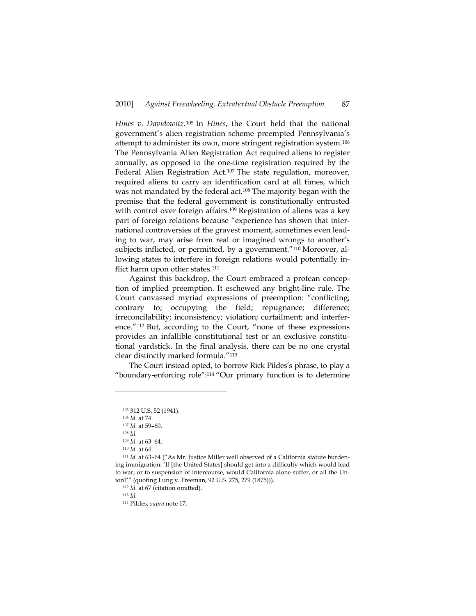*Hines v. Davidowitz*.105 In *Hines*, the Court held that the national government's alien registration scheme preempted Pennsylvania's attempt to administer its own, more stringent registration system.106 The Pennsylvania Alien Registration Act required aliens to register annually, as opposed to the one-time registration required by the Federal Alien Registration Act.<sup>107</sup> The state regulation, moreover, required aliens to carry an identification card at all times, which was not mandated by the federal act.<sup>108</sup> The majority began with the premise that the federal government is constitutionally entrusted with control over foreign affairs.<sup>109</sup> Registration of aliens was a key part of foreign relations because "experience has shown that international controversies of the gravest moment, sometimes even leading to war, may arise from real or imagined wrongs to another's subjects inflicted, or permitted, by a government."110 Moreover, allowing states to interfere in foreign relations would potentially inflict harm upon other states.<sup>111</sup>

Against this backdrop, the Court embraced a protean conception of implied preemption. It eschewed any bright-line rule. The Court canvassed myriad expressions of preemption: "conflicting; contrary to; occupying the field; repugnance; difference; irreconcilability; inconsistency; violation; curtailment; and interference."112 But, according to the Court, "none of these expressions provides an infallible constitutional test or an exclusive constitutional yardstick. In the final analysis, there can be no one crystal clear distinctly marked formula."113

The Court instead opted, to borrow Rick Pildes's phrase, to play a "boundary-enforcing role":114 "Our primary function is to determine

-

114 Pildes, *supra* note 17.

<sup>105 312</sup> U.S. 52 (1941).

<sup>106</sup> *Id.* at 74.

<sup>107</sup> *Id.* at 59–60. 108 *Id.*<sup>109</sup> *Id.* at 63–64. 110 *Id.* at 64.

<sup>&</sup>lt;sup>111</sup> *Id.* at 63-64 ("As Mr. Justice Miller well observed of a California statute burdening immigration: 'If [the United States] should get into a difficulty which would lead to war, or to suspension of intercourse, would California alone suffer, or all the Union?'" (quoting Lung v. Freeman, 92 U.S. 275, 279 (1875))).

<sup>112</sup> *Id.* at 67 (citation omitted). 113 *Id.*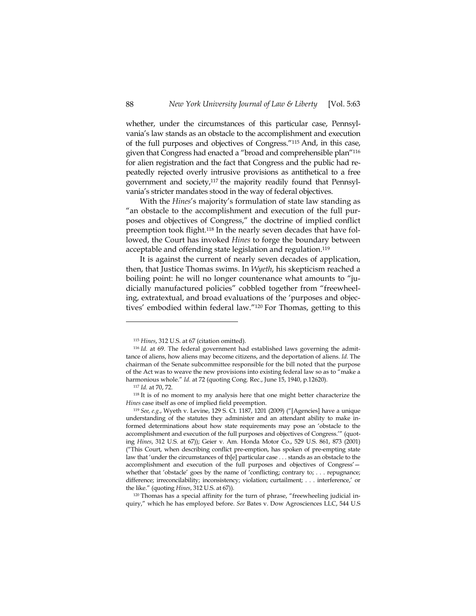whether, under the circumstances of this particular case, Pennsylvania's law stands as an obstacle to the accomplishment and execution of the full purposes and objectives of Congress."115 And, in this case, given that Congress had enacted a "broad and comprehensible plan"116 for alien registration and the fact that Congress and the public had repeatedly rejected overly intrusive provisions as antithetical to a free government and society,117 the majority readily found that Pennsylvania's stricter mandates stood in the way of federal objectives.

With the *Hines*'s majority's formulation of state law standing as "an obstacle to the accomplishment and execution of the full purposes and objectives of Congress," the doctrine of implied conflict preemption took flight.118 In the nearly seven decades that have followed, the Court has invoked *Hines* to forge the boundary between acceptable and offending state legislation and regulation.119

It is against the current of nearly seven decades of application, then, that Justice Thomas swims. In *Wyeth*, his skepticism reached a boiling point: he will no longer countenance what amounts to "judicially manufactured policies" cobbled together from "freewheeling, extratextual, and broad evaluations of the 'purposes and objectives' embodied within federal law."120 For Thomas, getting to this

-

the like." (quoting *Hines*, 312 U.S. at 67)).<br><sup>120</sup> Thomas has a special affinity for the turn of phrase, "freewheeling judicial inquiry," which he has employed before. *See* Bates v. Dow Agrosciences LLC, 544 U.S

<sup>115</sup> *Hines*, 312 U.S. at 67 (citation omitted). 116 *Id.* at 69. The federal government had established laws governing the admittance of aliens, how aliens may become citizens, and the deportation of aliens. *Id.* The chairman of the Senate subcommittee responsible for the bill noted that the purpose of the Act was to weave the new provisions into existing federal law so as to "make a harmonious whole." *Id.* at 72 (quoting Cong. Rec., June 15, 1940, p.12620).

<sup>&</sup>lt;sup>117</sup> *Id.* at 70, 72.<br><sup>118</sup> It is of no moment to my analysis here that one might better characterize the *Hines* case itself as one of implied field preemption.

<sup>119</sup> *See, e.g*., Wyeth v. Levine, 129 S. Ct. 1187, 1201 (2009) ("[Agencies] have a unique understanding of the statutes they administer and an attendant ability to make informed determinations about how state requirements may pose an 'obstacle to the accomplishment and execution of the full purposes and objectives of Congress.'" (quoting *Hines*, 312 U.S. at 67)); Geier v. Am. Honda Motor Co., 529 U.S. 861, 873 (2001) ("This Court, when describing conflict pre-emption, has spoken of pre-empting state law that 'under the circumstances of th[e] particular case . . . stands as an obstacle to the accomplishment and execution of the full purposes and objectives of Congress' whether that 'obstacle' goes by the name of 'conflicting; contrary to; . . . repugnance; difference; irreconcilability; inconsistency; violation; curtailment; . . . interference,' or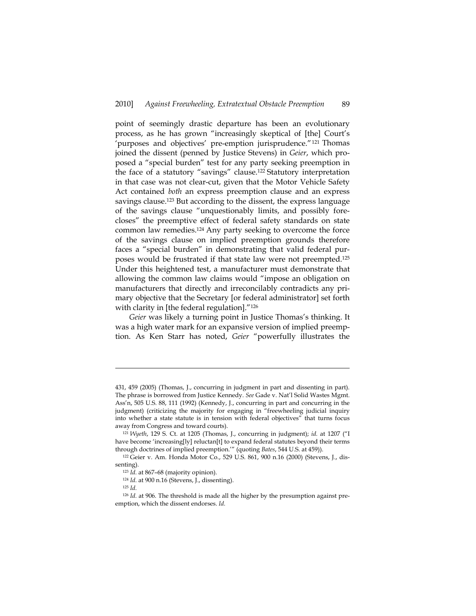point of seemingly drastic departure has been an evolutionary process, as he has grown "increasingly skeptical of [the] Court's 'purposes and objectives' pre-emption jurisprudence."121 Thomas joined the dissent (penned by Justice Stevens) in *Geier*, which proposed a "special burden" test for any party seeking preemption in the face of a statutory "savings" clause.122 Statutory interpretation in that case was not clear-cut, given that the Motor Vehicle Safety Act contained *both* an express preemption clause and an express savings clause.<sup>123</sup> But according to the dissent, the express language of the savings clause "unquestionably limits, and possibly forecloses" the preemptive effect of federal safety standards on state common law remedies.124 Any party seeking to overcome the force of the savings clause on implied preemption grounds therefore faces a "special burden" in demonstrating that valid federal purposes would be frustrated if that state law were not preempted.125 Under this heightened test, a manufacturer must demonstrate that allowing the common law claims would "impose an obligation on manufacturers that directly and irreconcilably contradicts any primary objective that the Secretary [or federal administrator] set forth with clarity in [the federal regulation]."<sup>126</sup>

*Geier* was likely a turning point in Justice Thomas's thinking. It was a high water mark for an expansive version of implied preemption. As Ken Starr has noted, *Geier* "powerfully illustrates the

<sup>431, 459 (2005) (</sup>Thomas, J., concurring in judgment in part and dissenting in part). The phrase is borrowed from Justice Kennedy. *See* Gade v. Nat'l Solid Wastes Mgmt. Ass'n, 505 U.S. 88, 111 (1992) (Kennedy, J., concurring in part and concurring in the judgment) (criticizing the majority for engaging in "freewheeling judicial inquiry into whether a state statute is in tension with federal objectives" that turns focus away from Congress and toward courts).

<sup>121</sup> *Wyeth*, 129 S. Ct. at 1205 (Thomas, J., concurring in judgment); *id.* at 1207 ("I have become 'increasing[ly] reluctan[t] to expand federal statutes beyond their terms through doctrines of implied preemption.'" (quoting *Bates*, 544 U.S. at 459)).

<sup>122</sup> Geier v. Am. Honda Motor Co., 529 U.S. 861, 900 n.16 (2000) (Stevens, J., dissenting).<br><sup>123</sup> *Id.* at 867–68 (majority opinion).<br><sup>124</sup> *Id.* at 900 n.16 (Stevens, J., dissenting).

<sup>125</sup> *Id.* 126 *Id.* at 906. The threshold is made all the higher by the presumption against preemption, which the dissent endorses. *Id.*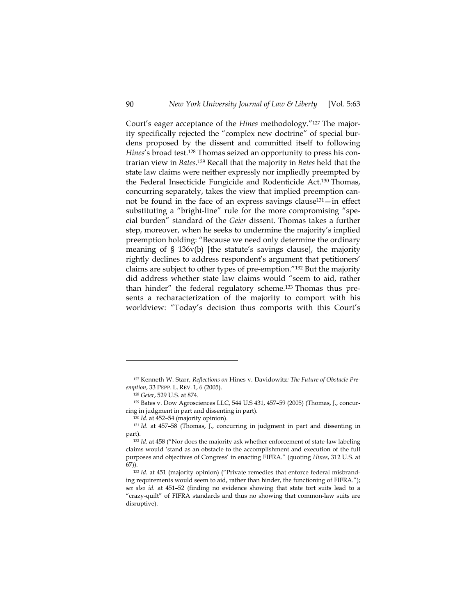Court's eager acceptance of the *Hines* methodology."127 The majority specifically rejected the "complex new doctrine" of special burdens proposed by the dissent and committed itself to following *Hines*'s broad test.128 Thomas seized an opportunity to press his contrarian view in *Bates*. 129 Recall that the majority in *Bates* held that the state law claims were neither expressly nor impliedly preempted by the Federal Insecticide Fungicide and Rodenticide Act.130 Thomas, concurring separately, takes the view that implied preemption cannot be found in the face of an express savings clause131—in effect substituting a "bright-line" rule for the more compromising "special burden" standard of the *Geier* dissent. Thomas takes a further step, moreover, when he seeks to undermine the majority's implied preemption holding: "Because we need only determine the ordinary meaning of § 136v(b) [the statute's savings clause], the majority rightly declines to address respondent's argument that petitioners' claims are subject to other types of pre-emption."132 But the majority did address whether state law claims would "seem to aid, rather than hinder" the federal regulatory scheme.133 Thomas thus presents a recharacterization of the majority to comport with his worldview: "Today's decision thus comports with this Court's

<sup>127</sup> Kenneth W. Starr, *Reflections on* Hines v. Davidowitz*: The Future of Obstacle Preemption*, 33 PEPP. L. REV. 1, 6 (2005).<br><sup>128</sup> *Geier*, 529 U.S. at 874.<br><sup>129</sup> Bates v. Dow Agrosciences LLC, 544 U.S 431, 457–59 (2005) (Thomas, J., concur-

ring in judgment in part and dissenting in part). 130 *Id.* at 452–54 (majority opinion).

<sup>131</sup> *Id.* at 457–58 (Thomas, J., concurring in judgment in part and dissenting in part). 132 *Id.* at 458 ("Nor does the majority ask whether enforcement of state-law labeling

claims would 'stand as an obstacle to the accomplishment and execution of the full purposes and objectives of Congress' in enacting FIFRA." (quoting *Hines*, 312 U.S. at 67)). 133 *Id.* at 451 (majority opinion) ("Private remedies that enforce federal misbrand-

ing requirements would seem to aid, rather than hinder, the functioning of FIFRA."); *see also id.* at 451–52 (finding no evidence showing that state tort suits lead to a "crazy-quilt" of FIFRA standards and thus no showing that common-law suits are disruptive).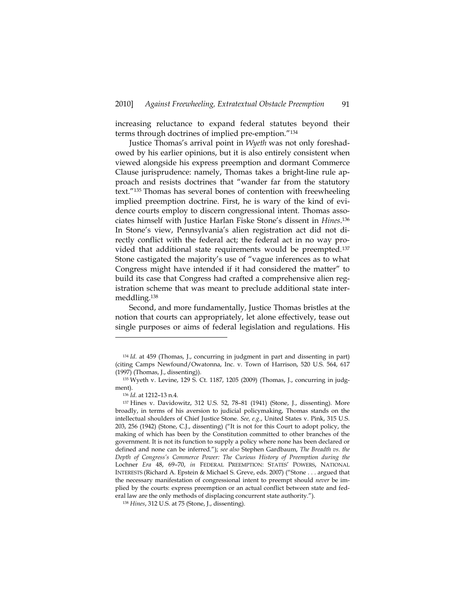increasing reluctance to expand federal statutes beyond their terms through doctrines of implied pre-emption."134

Justice Thomas's arrival point in *Wyeth* was not only foreshadowed by his earlier opinions, but it is also entirely consistent when viewed alongside his express preemption and dormant Commerce Clause jurisprudence: namely, Thomas takes a bright-line rule approach and resists doctrines that "wander far from the statutory text."135 Thomas has several bones of contention with freewheeling implied preemption doctrine. First, he is wary of the kind of evidence courts employ to discern congressional intent. Thomas associates himself with Justice Harlan Fiske Stone's dissent in *Hines*.136 In Stone's view, Pennsylvania's alien registration act did not directly conflict with the federal act; the federal act in no way provided that additional state requirements would be preempted.137 Stone castigated the majority's use of "vague inferences as to what Congress might have intended if it had considered the matter" to build its case that Congress had crafted a comprehensive alien registration scheme that was meant to preclude additional state intermeddling.138

Second, and more fundamentally, Justice Thomas bristles at the notion that courts can appropriately, let alone effectively, tease out single purposes or aims of federal legislation and regulations. His

<sup>134</sup> *Id.* at 459 (Thomas, J., concurring in judgment in part and dissenting in part) (citing Camps Newfound/Owatonna, Inc. v. Town of Harrison, 520 U.S. 564, 617 (1997) (Thomas, J., dissenting)).

<sup>135</sup> Wyeth v. Levine, 129 S. Ct. 1187, 1205 (2009) (Thomas, J., concurring in judgment).<br><sup>136</sup> *Id.* at 1212–13 n.4.<br><sup>137</sup> Hines v. Davidowitz, 312 U.S. 52, 78–81 (1941) (Stone, J., dissenting). More

broadly, in terms of his aversion to judicial policymaking, Thomas stands on the intellectual shoulders of Chief Justice Stone. *See, e.g.*, United States v. Pink, 315 U.S. 203, 256 (1942) (Stone, C.J., dissenting) ("It is not for this Court to adopt policy, the making of which has been by the Constitution committed to other branches of the government. It is not its function to supply a policy where none has been declared or defined and none can be inferred."); *see also* Stephen Gardbaum, *The Breadth vs. the Depth of Congress's Commerce Power: The Curious History of Preemption during the*  Lochner *Era* 48, 69–70, *in* FEDERAL PREEMPTION: STATES' POWERS, NATIONAL INTERESTS (Richard A. Epstein & Michael S. Greve, eds. 2007) ("Stone . . . argued that the necessary manifestation of congressional intent to preempt should *never* be implied by the courts: express preemption or an actual conflict between state and federal law are the only methods of displacing concurrent state authority.").

<sup>138</sup> *Hines*, 312 U.S. at 75 (Stone, J., dissenting).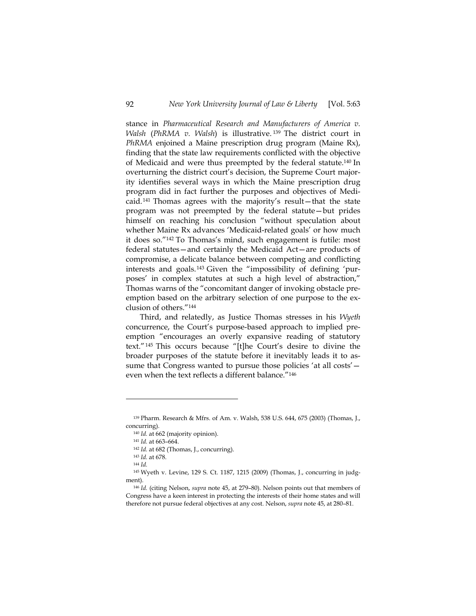stance in *Pharmaceutical Research and Manufacturers of America v. Walsh* (*PhRMA v. Walsh*) is illustrative. 139 The district court in *PhRMA* enjoined a Maine prescription drug program (Maine Rx), finding that the state law requirements conflicted with the objective of Medicaid and were thus preempted by the federal statute.140 In overturning the district court's decision, the Supreme Court majority identifies several ways in which the Maine prescription drug program did in fact further the purposes and objectives of Medicaid. 141 Thomas agrees with the majority's result—that the state program was not preempted by the federal statute—but prides himself on reaching his conclusion "without speculation about whether Maine Rx advances 'Medicaid-related goals' or how much it does so."142 To Thomas's mind, such engagement is futile: most federal statutes—and certainly the Medicaid Act—are products of compromise, a delicate balance between competing and conflicting interests and goals.143 Given the "impossibility of defining 'purposes' in complex statutes at such a high level of abstraction," Thomas warns of the "concomitant danger of invoking obstacle preemption based on the arbitrary selection of one purpose to the exclusion of others."144

Third, and relatedly, as Justice Thomas stresses in his *Wyeth* concurrence, the Court's purpose-based approach to implied preemption "encourages an overly expansive reading of statutory text."145 This occurs because "[t]he Court's desire to divine the broader purposes of the statute before it inevitably leads it to assume that Congress wanted to pursue those policies 'at all costs' even when the text reflects a different balance."146

<sup>139</sup> Pharm. Research & Mfrs. of Am. v. Walsh, 538 U.S. 644, 675 (2003) (Thomas, J., concurring).

<sup>140</sup> *Id.* at 662 (majority opinion). 141 *Id.* at 663–664. 142 *Id.* at 682 (Thomas, J., concurring).

<sup>143</sup> *Id.* at 678. 144 *Id.*

<sup>145</sup> Wyeth v. Levine, 129 S. Ct. 1187, 1215 (2009) (Thomas, J., concurring in judgment).

<sup>146</sup> *Id.* (citing Nelson, *supra* note 45, at 279–80). Nelson points out that members of Congress have a keen interest in protecting the interests of their home states and will therefore not pursue federal objectives at any cost. Nelson, *supra* note 45, at 280–81.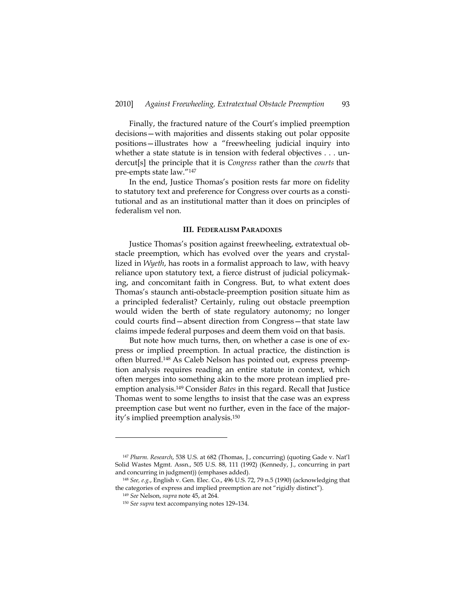Finally, the fractured nature of the Court's implied preemption decisions—with majorities and dissents staking out polar opposite positions—illustrates how a "freewheeling judicial inquiry into whether a state statute is in tension with federal objectives . . . undercut[s] the principle that it is *Congress* rather than the *courts* that pre-empts state law."147

In the end, Justice Thomas's position rests far more on fidelity to statutory text and preference for Congress over courts as a constitutional and as an institutional matter than it does on principles of federalism vel non.

### **III. FEDERALISM PARADOXES**

Justice Thomas's position against freewheeling, extratextual obstacle preemption, which has evolved over the years and crystallized in *Wyeth*, has roots in a formalist approach to law, with heavy reliance upon statutory text, a fierce distrust of judicial policymaking, and concomitant faith in Congress. But, to what extent does Thomas's staunch anti-obstacle-preemption position situate him as a principled federalist? Certainly, ruling out obstacle preemption would widen the berth of state regulatory autonomy; no longer could courts find—absent direction from Congress—that state law claims impede federal purposes and deem them void on that basis.

But note how much turns, then, on whether a case is one of express or implied preemption. In actual practice, the distinction is often blurred.148 As Caleb Nelson has pointed out, express preemption analysis requires reading an entire statute in context, which often merges into something akin to the more protean implied preemption analysis.149 Consider *Bates* in this regard. Recall that Justice Thomas went to some lengths to insist that the case was an express preemption case but went no further, even in the face of the majority's implied preemption analysis.150

<sup>147</sup> *Pharm. Research*, 538 U.S. at 682 (Thomas, J., concurring) (quoting Gade v. Nat'l Solid Wastes Mgmt. Assn., 505 U.S. 88, 111 (1992) (Kennedy, J., concurring in part and concurring in judgment)) (emphases added).

<sup>148</sup> *See, e.g.*, English v. Gen. Elec. Co., 496 U.S. 72, 79 n.5 (1990) (acknowledging that the categories of express and implied preemption are not "rigidly distinct"). 149 *See* Nelson, *supra* note 45, at 264.

<sup>150</sup> *See supra* text accompanying notes 129–134.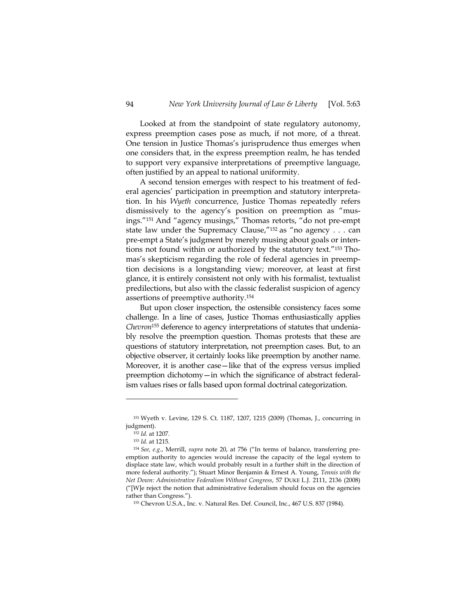Looked at from the standpoint of state regulatory autonomy, express preemption cases pose as much, if not more, of a threat. One tension in Justice Thomas's jurisprudence thus emerges when one considers that, in the express preemption realm, he has tended to support very expansive interpretations of preemptive language, often justified by an appeal to national uniformity.

A second tension emerges with respect to his treatment of federal agencies' participation in preemption and statutory interpretation. In his *Wyeth* concurrence, Justice Thomas repeatedly refers dismissively to the agency's position on preemption as "musings."151 And "agency musings," Thomas retorts, "do not pre-empt state law under the Supremacy Clause,"152 as "no agency . . . can pre-empt a State's judgment by merely musing about goals or intentions not found within or authorized by the statutory text."153 Thomas's skepticism regarding the role of federal agencies in preemption decisions is a longstanding view; moreover, at least at first glance, it is entirely consistent not only with his formalist, textualist predilections, but also with the classic federalist suspicion of agency assertions of preemptive authority.154

But upon closer inspection, the ostensible consistency faces some challenge. In a line of cases, Justice Thomas enthusiastically applies *Chevron*155 deference to agency interpretations of statutes that undeniably resolve the preemption question. Thomas protests that these are questions of statutory interpretation, not preemption cases. But, to an objective observer, it certainly looks like preemption by another name. Moreover, it is another case—like that of the express versus implied preemption dichotomy—in which the significance of abstract federalism values rises or falls based upon formal doctrinal categorization.

<sup>151</sup> Wyeth v. Levine, 129 S. Ct. 1187, 1207, 1215 (2009) (Thomas, J., concurring in judgment).

<sup>152</sup> *Id.* at 1207. 153 *Id.* at 1215. 154 *See, e.g.*, Merrill, *supra* note 20, at 756 ("In terms of balance, transferring preemption authority to agencies would increase the capacity of the legal system to displace state law, which would probably result in a further shift in the direction of more federal authority."); Stuart Minor Benjamin & Ernest A. Young, *Tennis with the Net Down: Administrative Federalism Without Congress*, 57 DUKE L.J. 2111, 2136 (2008) ("[W]e reject the notion that administrative federalism should focus on the agencies rather than Congress.").

<sup>155</sup> Chevron U.S.A., Inc. v. Natural Res. Def. Council, Inc., 467 U.S. 837 (1984).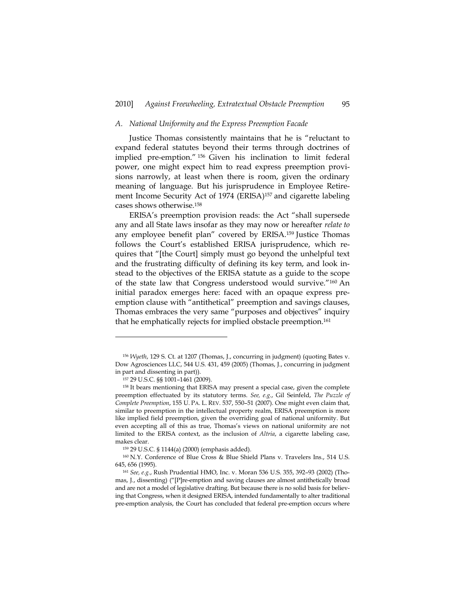## *A. National Uniformity and the Express Preemption Facade*

Justice Thomas consistently maintains that he is "reluctant to expand federal statutes beyond their terms through doctrines of implied pre-emption." 156 Given his inclination to limit federal power, one might expect him to read express preemption provisions narrowly, at least when there is room, given the ordinary meaning of language. But his jurisprudence in Employee Retirement Income Security Act of 1974 (ERISA)<sup>157</sup> and cigarette labeling cases shows otherwise.158

ERISA's preemption provision reads: the Act "shall supersede any and all State laws insofar as they may now or hereafter *relate to* any employee benefit plan" covered by ERISA.<sup>159</sup> Justice Thomas follows the Court's established ERISA jurisprudence, which requires that "[the Court] simply must go beyond the unhelpful text and the frustrating difficulty of defining its key term, and look instead to the objectives of the ERISA statute as a guide to the scope of the state law that Congress understood would survive."160 An initial paradox emerges here: faced with an opaque express preemption clause with "antithetical" preemption and savings clauses, Thomas embraces the very same "purposes and objectives" inquiry that he emphatically rejects for implied obstacle preemption.161

<sup>156</sup> *Wyeth*, 129 S. Ct. at 1207 (Thomas, J., concurring in judgment) (quoting Bates v. Dow Agrosciences LLC, 544 U.S. 431, 459 (2005) (Thomas, J., concurring in judgment in part and dissenting in part)).

<sup>157 29</sup> U.S.C. §§ 1001–1461 (2009).

<sup>&</sup>lt;sup>158</sup> It bears mentioning that ERISA may present a special case, given the complete preemption effectuated by its statutory terms. *See, e.g.*, Gil Seinfeld, *The Puzzle of Complete Preemption*, 155 U. PA. L. REV. 537, 550–51 (2007). One might even claim that, similar to preemption in the intellectual property realm, ERISA preemption is more like implied field preemption, given the overriding goal of national uniformity. But even accepting all of this as true, Thomas's views on national uniformity are not limited to the ERISA context, as the inclusion of *Altria*, a cigarette labeling case, makes clear.

<sup>159 29</sup> U.S.C. § 1144(a) (2000) (emphasis added).

<sup>160</sup> N.Y. Conference of Blue Cross & Blue Shield Plans v. Travelers Ins., 514 U.S. 645, 656 (1995). 161 *See, e.g.*, Rush Prudential HMO, Inc. v. Moran 536 U.S. 355, 392–93 (2002) (Tho-

mas, J., dissenting) ("[P]re-emption and saving clauses are almost antithetically broad and are not a model of legislative drafting. But because there is no solid basis for believing that Congress, when it designed ERISA, intended fundamentally to alter traditional pre-emption analysis, the Court has concluded that federal pre-emption occurs where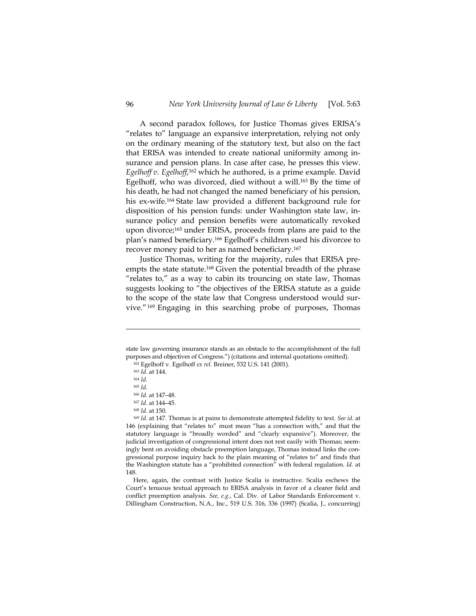A second paradox follows, for Justice Thomas gives ERISA's "relates to" language an expansive interpretation, relying not only on the ordinary meaning of the statutory text, but also on the fact that ERISA was intended to create national uniformity among insurance and pension plans. In case after case, he presses this view. *Egelhoff v. Egelhoff*, 162 which he authored, is a prime example. David Egelhoff, who was divorced, died without a will.163 By the time of his death, he had not changed the named beneficiary of his pension, his ex-wife.164 State law provided a different background rule for disposition of his pension funds: under Washington state law, insurance policy and pension benefits were automatically revoked upon divorce;165 under ERISA, proceeds from plans are paid to the plan's named beneficiary.166 Egelhoff's children sued his divorcee to recover money paid to her as named beneficiary.167

Justice Thomas, writing for the majority, rules that ERISA preempts the state statute.<sup>168</sup> Given the potential breadth of the phrase "relates to," as a way to cabin its trouncing on state law, Thomas suggests looking to "the objectives of the ERISA statute as a guide to the scope of the state law that Congress understood would survive."169 Engaging in this searching probe of purposes, Thomas

-

<sup>166</sup> *Id.* at 147–48. 167 *Id.* at 144–45.

state law governing insurance stands as an obstacle to the accomplishment of the full purposes and objectives of Congress.") (citations and internal quotations omitted).

<sup>162</sup> Egelhoff v. Egelhoff *ex rel.* Breiner, 532 U.S. 141 (2001). 163 *Id.* at 144.

<sup>164</sup> *Id.*

<sup>165</sup> *Id.*

<sup>&</sup>lt;sup>168 *Id.* at 150.<br><sup>169</sup> *Id.* at 147. Thomas is at pains to demonstrate attempted fidelity to text. *See id.* at</sup> 146 (explaining that "relates to" must mean "has a connection with," and that the statutory language is "broadly worded" and "clearly expansive"). Moreover, the judicial investigation of congressional intent does not rest easily with Thomas; seemingly bent on avoiding obstacle preemption language, Thomas instead links the congressional purpose inquiry back to the plain meaning of "relates to" and finds that the Washington statute has a "prohibited connection" with federal regulation. *Id*. at 148.

Here, again, the contrast with Justice Scalia is instructive. Scalia eschews the Court's tenuous textual approach to ERISA analysis in favor of a clearer field and conflict preemption analysis. *See, e.g.*, Cal. Div. of Labor Standards Enforcement v. Dillingham Construction, N.A., Inc., 519 U.S. 316, 336 (1997) (Scalia, J., concurring)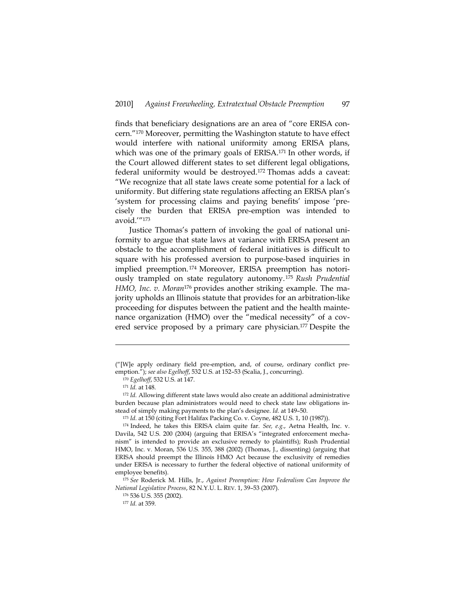finds that beneficiary designations are an area of "core ERISA concern."170 Moreover, permitting the Washington statute to have effect would interfere with national uniformity among ERISA plans, which was one of the primary goals of ERISA.<sup>171</sup> In other words, if the Court allowed different states to set different legal obligations, federal uniformity would be destroyed.172 Thomas adds a caveat: "We recognize that all state laws create some potential for a lack of uniformity. But differing state regulations affecting an ERISA plan's 'system for processing claims and paying benefits' impose 'precisely the burden that ERISA pre-emption was intended to avoid.'"173

Justice Thomas's pattern of invoking the goal of national uniformity to argue that state laws at variance with ERISA present an obstacle to the accomplishment of federal initiatives is difficult to square with his professed aversion to purpose-based inquiries in implied preemption. 174 Moreover, ERISA preemption has notoriously trampled on state regulatory autonomy. <sup>175</sup> *Rush Prudential HMO, Inc. v. Moran*<sup>176</sup> provides another striking example. The majority upholds an Illinois statute that provides for an arbitration-like proceeding for disputes between the patient and the health maintenance organization (HMO) over the "medical necessity" of a covered service proposed by a primary care physician.177 Despite the

<sup>(&</sup>quot;[W]e apply ordinary field pre-emption, and, of course, ordinary conflict preemption."); *see also Egelhoff*, 532 U.S. at 152–53 (Scalia, J., concurring).

<sup>&</sup>lt;sup>170</sup> *Egelhoff*, 532 U.S. at 147.<br><sup>171</sup> *Id.* at 148.

<sup>&</sup>lt;sup>172</sup> *Id.* Allowing different state laws would also create an additional administrative burden because plan administrators would need to check state law obligations instead of simply making payments to the plan's designee. *Id.* at 149–50. 173 *Id.* at 150 (citing Fort Halifax Packing Co. v. Coyne, 482 U.S. 1, 10 (1987)).

<sup>174</sup> Indeed, he takes this ERISA claim quite far. *See, e.g.*, Aetna Health, Inc. v. Davila, 542 U.S. 200 (2004) (arguing that ERISA's "integrated enforcement mechanism" is intended to provide an exclusive remedy to plaintiffs); Rush Prudential HMO, Inc. v. Moran, 536 U.S. 355, 388 (2002) (Thomas, J., dissenting) (arguing that ERISA should preempt the Illinois HMO Act because the exclusivity of remedies under ERISA is necessary to further the federal objective of national uniformity of employee benefits).

<sup>175</sup> *See* Roderick M. Hills, Jr., *Against Preemption: How Federalism Can Improve the National Legislative Process*, 82 N.Y.U. L. REV. 1, 39–53 (2007). 176 536 U.S. 355 (2002).

<sup>177</sup> *Id.* at 359.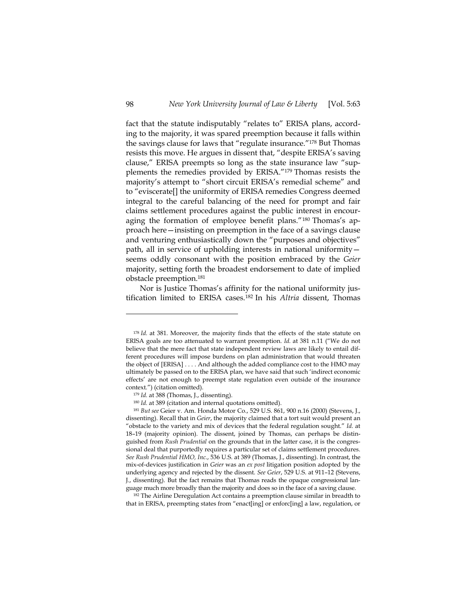fact that the statute indisputably "relates to" ERISA plans, according to the majority, it was spared preemption because it falls within the savings clause for laws that "regulate insurance."178 But Thomas resists this move. He argues in dissent that, "despite ERISA's saving clause," ERISA preempts so long as the state insurance law "supplements the remedies provided by ERISA."179 Thomas resists the majority's attempt to "short circuit ERISA's remedial scheme" and to "eviscerate[] the uniformity of ERISA remedies Congress deemed integral to the careful balancing of the need for prompt and fair claims settlement procedures against the public interest in encouraging the formation of employee benefit plans."180 Thomas's approach here—insisting on preemption in the face of a savings clause and venturing enthusiastically down the "purposes and objectives" path, all in service of upholding interests in national uniformity seems oddly consonant with the position embraced by the *Geier* majority, setting forth the broadest endorsement to date of implied obstacle preemption.181

Nor is Justice Thomas's affinity for the national uniformity justification limited to ERISA cases.182 In his *Altria* dissent, Thomas

that in ERISA, preempting states from "enact[ing] or enforc[ing] a law, regulation, or

<sup>178</sup> *Id.* at 381. Moreover, the majority finds that the effects of the state statute on ERISA goals are too attenuated to warrant preemption. *Id.* at 381 n.11 ("We do not believe that the mere fact that state independent review laws are likely to entail different procedures will impose burdens on plan administration that would threaten the object of [ERISA] . . . . And although the added compliance cost to the HMO may ultimately be passed on to the ERISA plan, we have said that such 'indirect economic effects' are not enough to preempt state regulation even outside of the insurance

context.") (citation omitted).<br><sup>179</sup> *Id.* at 388 (Thomas, J., dissenting).<br><sup>180</sup> *Id.* at 389 (citation and internal quotations omitted).

<sup>181</sup> *But see* Geier v. Am. Honda Motor Co., 529 U.S. 861, 900 n.16 (2000) (Stevens, J., dissenting). Recall that in *Geier*, the majority claimed that a tort suit would present an "obstacle to the variety and mix of devices that the federal regulation sought." *Id.* at 18–19 (majority opinion). The dissent, joined by Thomas, can perhaps be distinguished from *Rush Prudential* on the grounds that in the latter case, it is the congressional deal that purportedly requires a particular set of claims settlement procedures. *See Rush Prudential HMO, Inc.*, 536 U.S. at 389 (Thomas, J., dissenting). In contrast, the mix-of-devices justification in *Geier* was an *ex post* litigation position adopted by the underlying agency and rejected by the dissent. *See Geier*, 529 U.S. at 911–12 (Stevens, J., dissenting). But the fact remains that Thomas reads the opaque congressional language much more broadly than the majority and does so in the face of a saving clause. 182 The Airline Deregulation Act contains a preemption clause similar in breadth to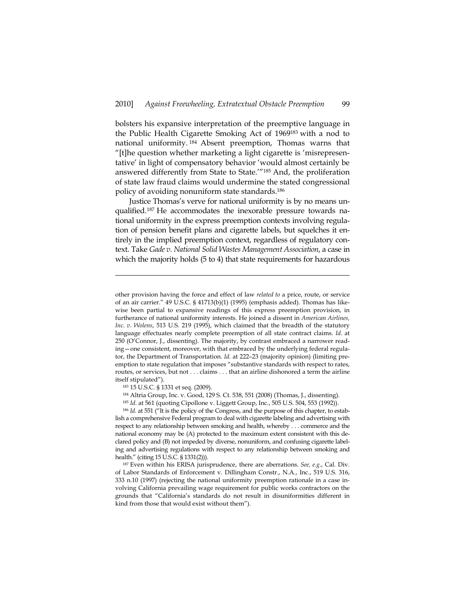bolsters his expansive interpretation of the preemptive language in the Public Health Cigarette Smoking Act of 1969183 with a nod to national uniformity. 184 Absent preemption, Thomas warns that "[t]he question whether marketing a light cigarette is 'misrepresentative' in light of compensatory behavior 'would almost certainly be answered differently from State to State.'"185 And, the proliferation of state law fraud claims would undermine the stated congressional policy of avoiding nonuniform state standards.186

Justice Thomas's verve for national uniformity is by no means unqualified.187 He accommodates the inexorable pressure towards national uniformity in the express preemption contexts involving regulation of pension benefit plans and cigarette labels, but squelches it entirely in the implied preemption context, regardless of regulatory context. Take *Gade v. National Solid Wastes Management Association*, a case in which the majority holds (5 to 4) that state requirements for hazardous

-

<sup>186</sup> *Id.* at 551 ("It is the policy of the Congress, and the purpose of this chapter, to establish a comprehensive Federal program to deal with cigarette labeling and advertising with respect to any relationship between smoking and health, whereby . . . commerce and the national economy may be (A) protected to the maximum extent consistent with this declared policy and (B) not impeded by diverse, nonuniform, and confusing cigarette labeling and advertising regulations with respect to any relationship between smoking and health." (citing 15 U.S.C. § 1331(2))).

187 Even within his ERISA jurisprudence, there are aberrations. *See, e.g*., Cal. Div. of Labor Standards of Enforcement v. Dillingham Constr., N.A., Inc., 519 U.S. 316, 333 n.10 (1997) (rejecting the national uniformity preemption rationale in a case involving California prevailing wage requirement for public works contractors on the grounds that "California's standards do not result in disuniformities different in kind from those that would exist without them").

other provision having the force and effect of law *related to* a price, route, or service of an air carrier." 49 U.S.C. § 41713(b)(1) (1995) (emphasis added). Thomas has likewise been partial to expansive readings of this express preemption provision, in furtherance of national uniformity interests. He joined a dissent in *American Airlines, Inc. v. Wolens*, 513 U.S. 219 (1995), which claimed that the breadth of the statutory language effectuates nearly complete preemption of all state contract claims. *Id.* at 250 (O'Connor, J., dissenting). The majority, by contrast embraced a narrower reading—one consistent, moreover, with that embraced by the underlying federal regulator, the Department of Transportation. *Id.* at 222–23 (majority opinion) (limiting preemption to state regulation that imposes "substantive standards with respect to rates, routes, or services, but not . . . claims . . . that an airline dishonored a term the airline itself stipulated").

<sup>183 15</sup> U.S.C. § 1331 et seq. (2009).

<sup>184</sup> Altria Group, Inc. v. Good, 129 S. Ct. 538, 551 (2008) (Thomas, J., dissenting).

<sup>185</sup> *Id.* at 561 (quoting Cipollone v. Liggett Group, Inc., 505 U.S. 504, 553 (1992)).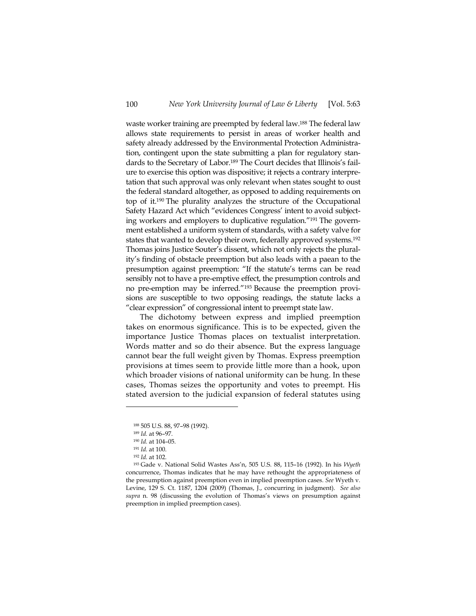waste worker training are preempted by federal law.188 The federal law allows state requirements to persist in areas of worker health and safety already addressed by the Environmental Protection Administration, contingent upon the state submitting a plan for regulatory standards to the Secretary of Labor.189 The Court decides that Illinois's failure to exercise this option was dispositive; it rejects a contrary interpretation that such approval was only relevant when states sought to oust the federal standard altogether, as opposed to adding requirements on top of it.190 The plurality analyzes the structure of the Occupational Safety Hazard Act which "evidences Congress' intent to avoid subjecting workers and employers to duplicative regulation."191 The government established a uniform system of standards, with a safety valve for states that wanted to develop their own, federally approved systems.192 Thomas joins Justice Souter's dissent, which not only rejects the plurality's finding of obstacle preemption but also leads with a paean to the presumption against preemption: "If the statute's terms can be read sensibly not to have a pre-emptive effect, the presumption controls and no pre-emption may be inferred."193 Because the preemption provisions are susceptible to two opposing readings, the statute lacks a "clear expression" of congressional intent to preempt state law.

The dichotomy between express and implied preemption takes on enormous significance. This is to be expected, given the importance Justice Thomas places on textualist interpretation. Words matter and so do their absence. But the express language cannot bear the full weight given by Thomas. Express preemption provisions at times seem to provide little more than a hook, upon which broader visions of national uniformity can be hung. In these cases, Thomas seizes the opportunity and votes to preempt. His stated aversion to the judicial expansion of federal statutes using

<sup>188 505</sup> U.S. 88, 97–98 (1992).

<sup>189</sup> *Id.* at 96–97. 190 *Id.* at 104–05. 191 *Id.* at 100.

<sup>192</sup> *Id.* at 102. 193 Gade v. National Solid Wastes Ass'n, 505 U.S. 88, 115–16 (1992). In his *Wyeth* concurrence, Thomas indicates that he may have rethought the appropriateness of the presumption against preemption even in implied preemption cases. *See* Wyeth v. Levine, 129 S. Ct. 1187, 1204 (2009) (Thomas, J., concurring in judgment). *See also supra* n. 98 (discussing the evolution of Thomas's views on presumption against preemption in implied preemption cases).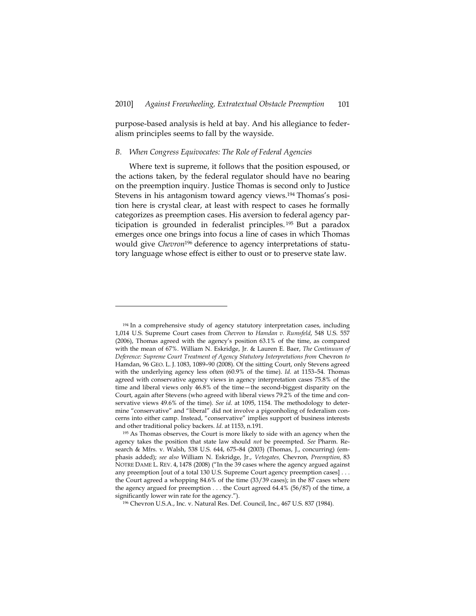purpose-based analysis is held at bay. And his allegiance to federalism principles seems to fall by the wayside.

#### *B. When Congress Equivocates: The Role of Federal Agencies*

-

Where text is supreme, it follows that the position espoused, or the actions taken, by the federal regulator should have no bearing on the preemption inquiry. Justice Thomas is second only to Justice Stevens in his antagonism toward agency views.194 Thomas's position here is crystal clear, at least with respect to cases he formally categorizes as preemption cases. His aversion to federal agency participation is grounded in federalist principles. 195 But a paradox emerges once one brings into focus a line of cases in which Thomas would give *Chevron*196 deference to agency interpretations of statutory language whose effect is either to oust or to preserve state law.

<sup>&</sup>lt;sup>194</sup> In a comprehensive study of agency statutory interpretation cases, including 1,014 U.S. Supreme Court cases from *Chevron* to *Hamdan v. Rumsfeld*, 548 U.S. 557 (2006), Thomas agreed with the agency's position 63.1% of the time, as compared with the mean of 67%. William N. Eskridge, Jr. & Lauren E. Baer, *The Continuum of Deference: Supreme Court Treatment of Agency Statutory Interpretations from* Chevron *to* Hamdan, 96 GEO. L. J. 1083, 1089–90 (2008). Of the sitting Court, only Stevens agreed with the underlying agency less often (60.9% of the time). *Id.* at 1153–54. Thomas agreed with conservative agency views in agency interpretation cases 75.8% of the time and liberal views only 46.8% of the time—the second-biggest disparity on the Court, again after Stevens (who agreed with liberal views 79.2% of the time and conservative views 49.6% of the time). *See id.* at 1095, 1154. The methodology to determine "conservative" and "liberal" did not involve a pigeonholing of federalism concerns into either camp. Instead, "conservative" implies support of business interests and other traditional policy backers. *Id.* at 1153, n.191.

<sup>195</sup> As Thomas observes, the Court is more likely to side with an agency when the agency takes the position that state law should *not* be preempted. *See* Pharm. Research & Mfrs. v. Walsh, 538 U.S. 644, 675–84 (2003) (Thomas, J., concurring) (emphasis added); *see also* William N. Eskridge, Jr., *Vetogates,* Chevron*, Preemption,* 83 NOTRE DAME L. REV. 4, 1478 (2008) ("In the 39 cases where the agency argued against any preemption [out of a total 130 U.S. Supreme Court agency preemption cases] . . . the Court agreed a whopping 84.6% of the time (33/39 cases); in the 87 cases where the agency argued for preemption . . . the Court agreed 64.4% (56/87) of the time, a significantly lower win rate for the agency.").

<sup>196</sup> Chevron U.S.A., Inc. v. Natural Res. Def. Council, Inc., 467 U.S. 837 (1984).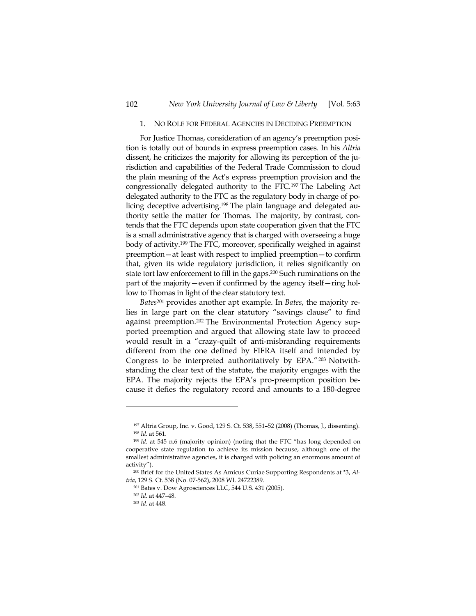## 1. NO ROLE FOR FEDERAL AGENCIES IN DECIDING PREEMPTION

For Justice Thomas, consideration of an agency's preemption position is totally out of bounds in express preemption cases. In his *Altria*  dissent, he criticizes the majority for allowing its perception of the jurisdiction and capabilities of the Federal Trade Commission to cloud the plain meaning of the Act's express preemption provision and the congressionally delegated authority to the FTC.197 The Labeling Act delegated authority to the FTC as the regulatory body in charge of policing deceptive advertising.198 The plain language and delegated authority settle the matter for Thomas. The majority, by contrast, contends that the FTC depends upon state cooperation given that the FTC is a small administrative agency that is charged with overseeing a huge body of activity.199 The FTC, moreover, specifically weighed in against preemption—at least with respect to implied preemption—to confirm that, given its wide regulatory jurisdiction, it relies significantly on state tort law enforcement to fill in the gaps.200 Such ruminations on the part of the majority—even if confirmed by the agency itself—ring hollow to Thomas in light of the clear statutory text.

*Bates*201 provides another apt example. In *Bates*, the majority relies in large part on the clear statutory "savings clause" to find against preemption.202 The Environmental Protection Agency supported preemption and argued that allowing state law to proceed would result in a "crazy-quilt of anti-misbranding requirements different from the one defined by FIFRA itself and intended by Congress to be interpreted authoritatively by EPA."203 Notwithstanding the clear text of the statute, the majority engages with the EPA. The majority rejects the EPA's pro-preemption position because it defies the regulatory record and amounts to a 180-degree

<sup>197</sup> Altria Group, Inc. v. Good, 129 S. Ct. 538, 551–52 (2008) (Thomas, J., dissenting). <sup>198</sup> *Id.* at 561.<br><sup>199</sup> *Id.* at 545 n.6 (majority opinion) (noting that the FTC "has long depended on

cooperative state regulation to achieve its mission because, although one of the smallest administrative agencies, it is charged with policing an enormous amount of activity").

<sup>&</sup>lt;sup>200</sup> Brief for the United States As Amicus Curiae Supporting Respondents at \*3, *Altria*, 129 S. Ct. 538 (No. 07-562), 2008 WL 24722389.

<sup>201</sup> Bates v. Dow Agrosciences LLC, 544 U.S. 431 (2005).

<sup>202</sup> *Id.* at 447–48.

<sup>203</sup> *Id.* at 448.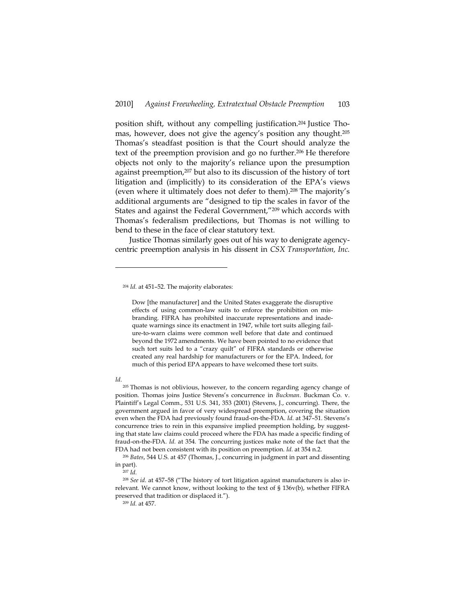position shift, without any compelling justification.204 Justice Thomas, however, does not give the agency's position any thought.205 Thomas's steadfast position is that the Court should analyze the text of the preemption provision and go no further.<sup>206</sup> He therefore objects not only to the majority's reliance upon the presumption against preemption,207 but also to its discussion of the history of tort litigation and (implicitly) to its consideration of the EPA's views (even where it ultimately does not defer to them).208 The majority's additional arguments are "designed to tip the scales in favor of the States and against the Federal Government,"209 which accords with Thomas's federalism predilections, but Thomas is not willing to bend to these in the face of clear statutory text.

Justice Thomas similarly goes out of his way to denigrate agencycentric preemption analysis in his dissent in *CSX Transportation, Inc.* 

#### *Id*.

-

<sup>205</sup> Thomas is not oblivious, however, to the concern regarding agency change of position. Thomas joins Justice Stevens's concurrence in *Buckman*. Buckman Co. v. Plaintiff's Legal Comm., 531 U.S. 341, 353 (2001) (Stevens, J., concurring). There, the government argued in favor of very widespread preemption, covering the situation even when the FDA had previously found fraud-on-the-FDA. *Id.* at 347–51. Stevens's concurrence tries to rein in this expansive implied preemption holding, by suggesting that state law claims could proceed where the FDA has made a specific finding of fraud-on-the-FDA. *Id.* at 354. The concurring justices make note of the fact that the FDA had not been consistent with its position on preemption. *Id.* at 354 n.2.

<sup>206</sup> *Bates*, 544 U.S. at 457 (Thomas, J., concurring in judgment in part and dissenting in part).<br> $_{207}^{207}$  *Id.* 

<sup>208</sup> *See id.* at 457–58 ("The history of tort litigation against manufacturers is also irrelevant. We cannot know, without looking to the text of § 136v(b), whether FIFRA preserved that tradition or displaced it.").

<sup>204</sup> *Id.* at 451–52. The majority elaborates:

Dow [the manufacturer] and the United States exaggerate the disruptive effects of using common-law suits to enforce the prohibition on misbranding. FIFRA has prohibited inaccurate representations and inadequate warnings since its enactment in 1947, while tort suits alleging failure-to-warn claims were common well before that date and continued beyond the 1972 amendments. We have been pointed to no evidence that such tort suits led to a "crazy quilt" of FIFRA standards or otherwise created any real hardship for manufacturers or for the EPA. Indeed, for much of this period EPA appears to have welcomed these tort suits.

<sup>209</sup> *Id.* at 457.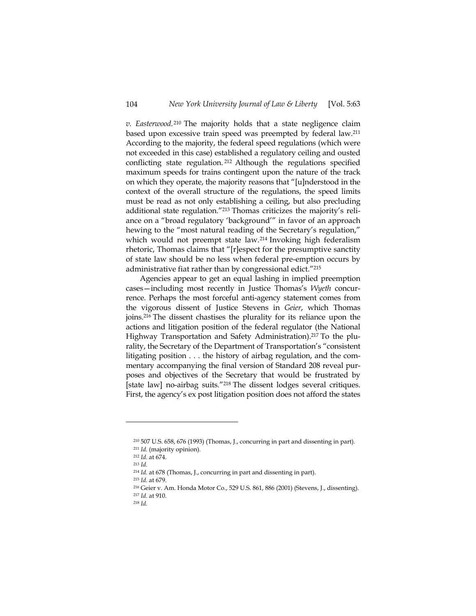*v. Easterwood*. 210 The majority holds that a state negligence claim based upon excessive train speed was preempted by federal law.211 According to the majority, the federal speed regulations (which were not exceeded in this case) established a regulatory ceiling and ousted conflicting state regulation. 212 Although the regulations specified maximum speeds for trains contingent upon the nature of the track on which they operate, the majority reasons that "[u]nderstood in the context of the overall structure of the regulations, the speed limits must be read as not only establishing a ceiling, but also precluding additional state regulation."213 Thomas criticizes the majority's reliance on a "broad regulatory 'background'" in favor of an approach hewing to the "most natural reading of the Secretary's regulation," which would not preempt state law.214 Invoking high federalism rhetoric, Thomas claims that "[r]espect for the presumptive sanctity of state law should be no less when federal pre-emption occurs by administrative fiat rather than by congressional edict."215

Agencies appear to get an equal lashing in implied preemption cases—including most recently in Justice Thomas's *Wyeth* concurrence. Perhaps the most forceful anti-agency statement comes from the vigorous dissent of Justice Stevens in *Geier*, which Thomas joins.216 The dissent chastises the plurality for its reliance upon the actions and litigation position of the federal regulator (the National Highway Transportation and Safety Administration).<sup>217</sup> To the plurality, the Secretary of the Department of Transportation's "consistent litigating position . . . the history of airbag regulation, and the commentary accompanying the final version of Standard 208 reveal purposes and objectives of the Secretary that would be frustrated by [state law] no-airbag suits."218 The dissent lodges several critiques. First, the agency's ex post litigation position does not afford the states

<sup>210 507</sup> U.S. 658, 676 (1993) (Thomas, J., concurring in part and dissenting in part). <sup>211</sup> *Id.* (majority opinion).

<sup>212</sup> *Id.* at 674. 213 *Id.*

<sup>214</sup> *Id.* at 678 (Thomas, J., concurring in part and dissenting in part). 215 *Id.* at 679.

<sup>216</sup> Geier v. Am. Honda Motor Co., 529 U.S. 861, 886 (2001) (Stevens, J., dissenting). 217 *Id.* at 910.

<sup>218</sup> *Id.*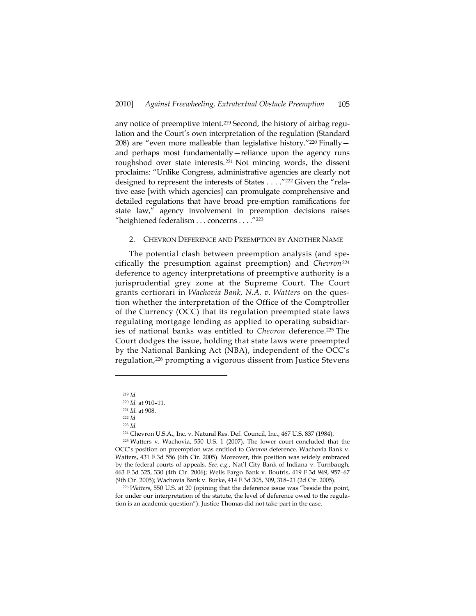any notice of preemptive intent.219 Second, the history of airbag regulation and the Court's own interpretation of the regulation (Standard 208) are "even more malleable than legislative history."220 Finally and perhaps most fundamentally—reliance upon the agency runs roughshod over state interests.221 Not mincing words, the dissent proclaims: "Unlike Congress, administrative agencies are clearly not designed to represent the interests of States . . . . "222 Given the "relative ease [with which agencies] can promulgate comprehensive and detailed regulations that have broad pre-emption ramifications for state law," agency involvement in preemption decisions raises "heightened federalism . . . concerns . . . ."223

## 2. CHEVRON DEFERENCE AND PREEMPTION BY ANOTHER NAME

The potential clash between preemption analysis (and specifically the presumption against preemption) and *Chevron*<sup>224</sup> deference to agency interpretations of preemptive authority is a jurisprudential grey zone at the Supreme Court. The Court grants certiorari in *Wachovia Bank, N.A. v. Watters* on the question whether the interpretation of the Office of the Comptroller of the Currency (OCC) that its regulation preempted state laws regulating mortgage lending as applied to operating subsidiaries of national banks was entitled to *Chevron* deference.225 The Court dodges the issue, holding that state laws were preempted by the National Banking Act (NBA), independent of the OCC's regulation,226 prompting a vigorous dissent from Justice Stevens

<sup>219</sup> *Id.*

<sup>220</sup> *Id.* at 910–11.

<sup>221</sup> *Id.* at 908. 222 *Id.*

<sup>223</sup> *Id.* 

<sup>224</sup> Chevron U.S.A., Inc. v. Natural Res. Def. Council, Inc., 467 U.S. 837 (1984).

<sup>225</sup> Watters v. Wachovia, 550 U.S. 1 (2007). The lower court concluded that the OCC's position on preemption was entitled to *Chevron* deference. Wachovia Bank v. Watters, 431 F.3d 556 (6th Cir. 2005). Moreover, this position was widely embraced by the federal courts of appeals. *See, e.g.*, Nat'l City Bank of Indiana v. Turnbaugh, 463 F.3d 325, 330 (4th Cir. 2006); Wells Fargo Bank v. Boutris, 419 F.3d 949, 957–67 (9th Cir. 2005); Wachovia Bank v. Burke, 414 F.3d 305, 309, 318–21 (2d Cir. 2005).

<sup>226</sup> *Watters*, 550 U.S. at 20 (opining that the deference issue was "beside the point, for under our interpretation of the statute, the level of deference owed to the regulation is an academic question"). Justice Thomas did not take part in the case.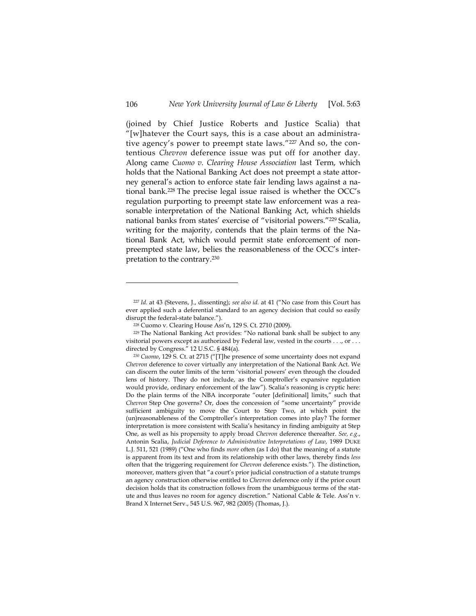(joined by Chief Justice Roberts and Justice Scalia) that "[w]hatever the Court says, this is a case about an administrative agency's power to preempt state laws."227 And so, the contentious *Chevron* deference issue was put off for another day. Along came *Cuomo v. Clearing House Association* last Term, which holds that the National Banking Act does not preempt a state attorney general's action to enforce state fair lending laws against a national bank.228 The precise legal issue raised is whether the OCC's regulation purporting to preempt state law enforcement was a reasonable interpretation of the National Banking Act, which shields national banks from states' exercise of "visitorial powers."229 Scalia, writing for the majority, contends that the plain terms of the National Bank Act, which would permit state enforcement of nonpreempted state law, belies the reasonableness of the OCC's interpretation to the contrary.230

<sup>227</sup> *Id.* at 43 (Stevens, J., dissenting); *see also id.* at 41 ("No case from this Court has ever applied such a deferential standard to an agency decision that could so easily disrupt the federal-state balance.").

<sup>228</sup> Cuomo v. Clearing House Ass'n, 129 S. Ct. 2710 (2009).

<sup>229</sup> The National Banking Act provides: "No national bank shall be subject to any visitorial powers except as authorized by Federal law, vested in the courts . . ., or . . . directed by Congress." 12 U.S.C. § 484(a).

<sup>230</sup> *Cuomo*, 129 S. Ct. at 2715 ("[T]he presence of some uncertainty does not expand *Chevron* deference to cover virtually any interpretation of the National Bank Act. We can discern the outer limits of the term 'visitorial powers' even through the clouded lens of history. They do not include, as the Comptroller's expansive regulation would provide, ordinary enforcement of the law"). Scalia's reasoning is cryptic here: Do the plain terms of the NBA incorporate "outer [definitional] limits," such that *Chevron* Step One governs? Or, does the concession of "some uncertainty" provide sufficient ambiguity to move the Court to Step Two, at which point the (un)reasonableness of the Comptroller's interpretation comes into play? The former interpretation is more consistent with Scalia's hesitancy in finding ambiguity at Step One, as well as his propensity to apply broad *Chevron* deference thereafter. *See, e.g*., Antonin Scalia, *Judicial Deference to Administrative Interpretations of Law*, 1989 DUKE L.J. 511, 521 (1989) ("One who finds *more* often (as I do) that the meaning of a statute is apparent from its text and from its relationship with other laws, thereby finds *less* often that the triggering requirement for *Chevron* deference exists."). The distinction, moreover, matters given that "a court's prior judicial construction of a statute trumps an agency construction otherwise entitled to *Chevron* deference only if the prior court decision holds that its construction follows from the unambiguous terms of the statute and thus leaves no room for agency discretion." National Cable & Tele. Ass'n v. Brand X Internet Serv., 545 U.S. 967, 982 (2005) (Thomas, J.).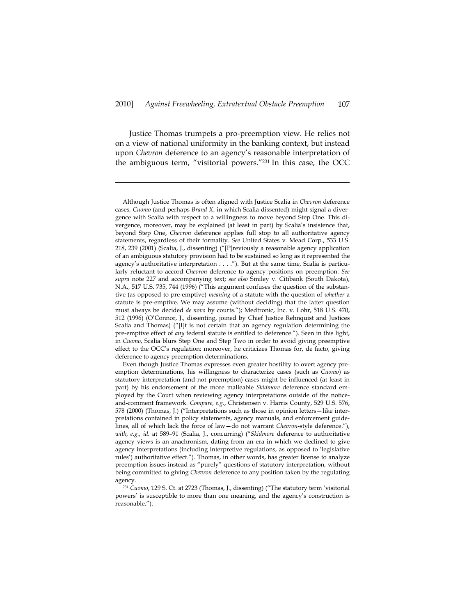Justice Thomas trumpets a pro-preemption view. He relies not on a view of national uniformity in the banking context, but instead upon *Chevron* deference to an agency's reasonable interpretation of the ambiguous term, "visitorial powers."231 In this case, the OCC

j

Although Justice Thomas is often aligned with Justice Scalia in *Chevron* deference cases, *Cuomo* (and perhaps *Brand X*, in which Scalia dissented) might signal a divergence with Scalia with respect to a willingness to move beyond Step One. This divergence, moreover, may be explained (at least in part) by Scalia's insistence that, beyond Step One, *Chevron* deference applies full stop to all authoritative agency statements, regardless of their formality. *See* United States v. Mead Corp., 533 U.S. 218, 239 (2001) (Scalia, J., dissenting) ("[P]reviously a reasonable agency application of an ambiguous statutory provision had to be sustained so long as it represented the agency's authoritative interpretation . . . ."). But at the same time, Scalia is particularly reluctant to accord *Chevron* deference to agency positions on preemption. *See supra* note 227 and accompanying text; *see also* Smiley v. Citibank (South Dakota), N.A., 517 U.S. 735, 744 (1996) ("This argument confuses the question of the substantive (as opposed to pre-emptive) *meaning* of a statute with the question of *whether* a statute is pre-emptive. We may assume (without deciding) that the latter question must always be decided *de novo* by courts."); Medtronic, Inc. v. Lohr, 518 U.S. 470, 512 (1996) (O'Connor, J., dissenting, joined by Chief Justice Rehnquist and Justices Scalia and Thomas) ("[I]t is not certain that an agency regulation determining the pre-emptive effect of *any* federal statute is entitled to deference."). Seen in this light, in *Cuomo*, Scalia blurs Step One and Step Two in order to avoid giving preemptive effect to the OCC's regulation; moreover, he criticizes Thomas for, de facto, giving deference to agency preemption determinations.

Even though Justice Thomas expresses even greater hostility to overt agency preemption determinations, his willingness to characterize cases (such as *Cuomo*) as statutory interpretation (and not preemption) cases might be influenced (at least in part) by his endorsement of the more malleable *Skidmore* deference standard employed by the Court when reviewing agency interpretations outside of the noticeand-comment framework. *Compare, e.g*., Christensen v. Harris County, 529 U.S. 576, 578 (2000) (Thomas, J.) ("Interpretations such as those in opinion letters—like interpretations contained in policy statements, agency manuals, and enforcement guidelines, all of which lack the force of law—do not warrant *Chevron*-style deference."), *with, e.g.*, *id.* at 589–91 (Scalia, J., concurring) ("*Skidmore* deference to authoritative agency views is an anachronism, dating from an era in which we declined to give agency interpretations (including interpretive regulations, as opposed to 'legislative rules') authoritative effect."). Thomas, in other words, has greater license to analyze preemption issues instead as "purely" questions of statutory interpretation, without being committed to giving *Chevron* deference to any position taken by the regulating agency.

<sup>231</sup> *Cuomo*, 129 S. Ct. at 2723 (Thomas, J., dissenting) ("The statutory term 'visitorial powers' is susceptible to more than one meaning, and the agency's construction is reasonable.").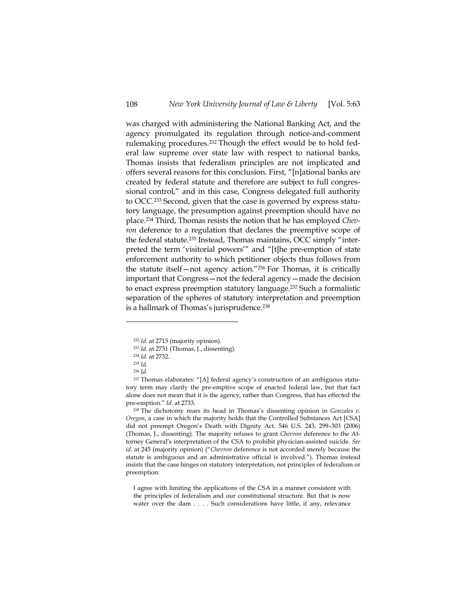was charged with administering the National Banking Act, and the agency promulgated its regulation through notice-and-comment rulemaking procedures.232 Though the effect would be to hold federal law supreme over state law with respect to national banks, Thomas insists that federalism principles are not implicated and offers several reasons for this conclusion. First, "[n]ational banks are created by federal statute and therefore are subject to full congressional control," and in this case, Congress delegated full authority to OCC.233 Second, given that the case is governed by express statutory language, the presumption against preemption should have no place.234 Third, Thomas resists the notion that he has employed *Chevron* deference to a regulation that declares the preemptive scope of the federal statute.235 Instead, Thomas maintains, OCC simply "interpreted the term 'visitorial powers'" and "[t]he pre-emption of state enforcement authority to which petitioner objects thus follows from the statute itself—not agency action."236 For Thomas, it is critically important that Congress—not the federal agency—made the decision to enact express preemption statutory language.237 Such a formalistic separation of the spheres of statutory interpretation and preemption is a hallmark of Thomas's jurisprudence.<sup>238</sup>

-

238 The dichotomy rears its head in Thomas's dissenting opinion in *Gonzales v. Oregon*, a case in which the majority holds that the Controlled Substances Act [CSA] did not preempt Oregon's Death with Dignity Act. 546 U.S. 243, 299–303 (2006) (Thomas, J., dissenting). The majority refuses to grant *Chevron* deference to the Attorney General's interpretation of the CSA to prohibit physician-assisted suicide. *See id.* at 245 (majority opinion) ("*Chevron* deference is not accorded merely because the statute is ambiguous and an administrative official is involved."). Thomas instead insists that the case hinges on statutory interpretation, not principles of federalism or preemption:

I agree with limiting the applications of the CSA in a manner consistent with the principles of federalism and our constitutional structure. But that is now water over the dam . . . . Such considerations have little, if any, relevance

<sup>232</sup> *Id.* at 2715 (majority opinion). 233 *Id.* at 2731 (Thomas, J., dissenting).

<sup>234</sup> *Id.* at 2732.

<sup>235</sup> *Id.*

<sup>236</sup> *Id.*

<sup>237</sup> Thomas elaborates: "[A] federal agency's construction of an ambiguous statutory term may clarify the pre-emptive scope of enacted federal law, but that fact alone does not mean that it is the agency, rather than Congress, that has effected the pre-emption." *Id.* at 2733.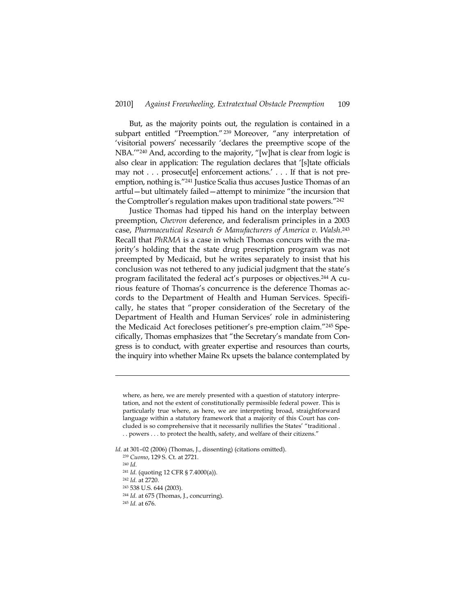But, as the majority points out, the regulation is contained in a subpart entitled "Preemption."<sup>239</sup> Moreover, "any interpretation of 'visitorial powers' necessarily 'declares the preemptive scope of the NBA.'"240 And, according to the majority, "[w]hat is clear from logic is also clear in application: The regulation declares that '[s]tate officials may not . . . prosecut[e] enforcement actions.' . . . If that is not preemption, nothing is."241 Justice Scalia thus accuses Justice Thomas of an artful—but ultimately failed—attempt to minimize "the incursion that the Comptroller's regulation makes upon traditional state powers."<sup>242</sup>

Justice Thomas had tipped his hand on the interplay between preemption, *Chevron* deference, and federalism principles in a 2003 case, *Pharmaceutical Research & Manufacturers of America v. Walsh*.243 Recall that *PhRMA* is a case in which Thomas concurs with the majority's holding that the state drug prescription program was not preempted by Medicaid, but he writes separately to insist that his conclusion was not tethered to any judicial judgment that the state's program facilitated the federal act's purposes or objectives.<sup>244</sup> A curious feature of Thomas's concurrence is the deference Thomas accords to the Department of Health and Human Services. Specifically, he states that "proper consideration of the Secretary of the Department of Health and Human Services' role in administering the Medicaid Act forecloses petitioner's pre-emption claim."245 Specifically, Thomas emphasizes that "the Secretary's mandate from Congress is to conduct, with greater expertise and resources than courts, the inquiry into whether Maine Rx upsets the balance contemplated by

-

- 
- 243 538 U.S. 644 (2003).

<sup>244</sup> *Id.* at 675 (Thomas, J., concurring).

<sup>245</sup> *Id.* at 676.

where, as here, we are merely presented with a question of statutory interpretation, and not the extent of constitutionally permissible federal power. This is particularly true where, as here, we are interpreting broad, straightforward language within a statutory framework that a majority of this Court has concluded is so comprehensive that it necessarily nullifies the States' "traditional . . . powers . . . to protect the health, safety, and welfare of their citizens."

*Id.* at 301–02 (2006) (Thomas, J., dissenting) (citations omitted).

<sup>239</sup> *Cuomo*, 129 S. Ct. at 2721. 240 *Id.*

<sup>241</sup> *Id.* (quoting 12 CFR § 7.4000(a)). 242 *Id.* at 2720.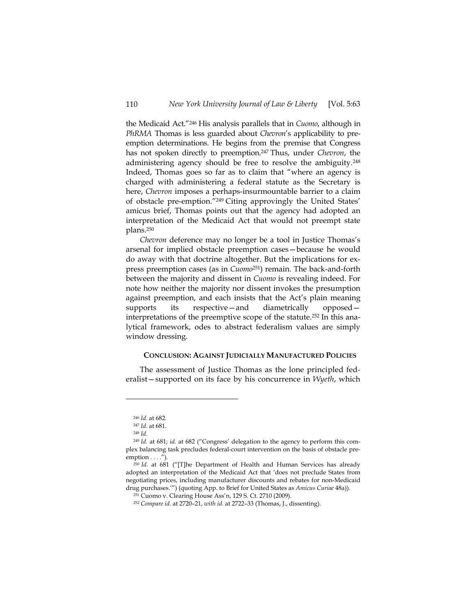the Medicaid Act."246 His analysis parallels that in *Cuomo*, although in *PhRMA* Thomas is less guarded about *Chevron*'s applicability to preemption determinations. He begins from the premise that Congress has not spoken directly to preemption.247 Thus, under *Chevron*, the administering agency should be free to resolve the ambiguity.248 Indeed, Thomas goes so far as to claim that "where an agency is charged with administering a federal statute as the Secretary is here, *Chevron* imposes a perhaps-insurmountable barrier to a claim of obstacle pre-emption."249 Citing approvingly the United States' amicus brief, Thomas points out that the agency had adopted an interpretation of the Medicaid Act that would not preempt state plans.250

*Chevron* deference may no longer be a tool in Justice Thomas's arsenal for implied obstacle preemption cases—because he would do away with that doctrine altogether. But the implications for express preemption cases (as in *Cuomo*251) remain. The back-and-forth between the majority and dissent in *Cuomo* is revealing indeed. For note how neither the majority nor dissent invokes the presumption against preemption, and each insists that the Act's plain meaning supports its respective—and diametrically opposed interpretations of the preemptive scope of the statute.252 In this analytical framework, odes to abstract federalism values are simply window dressing.

## **CONCLUSION: AGAINST JUDICIALLY MANUFACTURED POLICIES**

The assessment of Justice Thomas as the lone principled federalist—supported on its face by his concurrence in *Wyeth*, which

<sup>246</sup> *Id.* at 682.

<sup>247</sup> *Id.* at 681. 248 *Id.*

<sup>249</sup> *Id.* at 681; *id.* at 682 ("Congress' delegation to the agency to perform this complex balancing task precludes federal-court intervention on the basis of obstacle pre $emption \ldots$ .").

<sup>250</sup> *Id.* at 681 ("[T]he Department of Health and Human Services has already adopted an interpretation of the Medicaid Act that 'does not preclude States from negotiating prices, including manufacturer discounts and rebates for non-Medicaid drug purchases.'") (quoting App. to Brief for United States as *Amicus Curiae* 48a)). 251 Cuomo v. Clearing House Ass'n, 129 S. Ct. 2710 (2009).

<sup>252</sup> *Compare id.* at 2720–21, *with id.* at 2722–33 (Thomas, J., dissenting).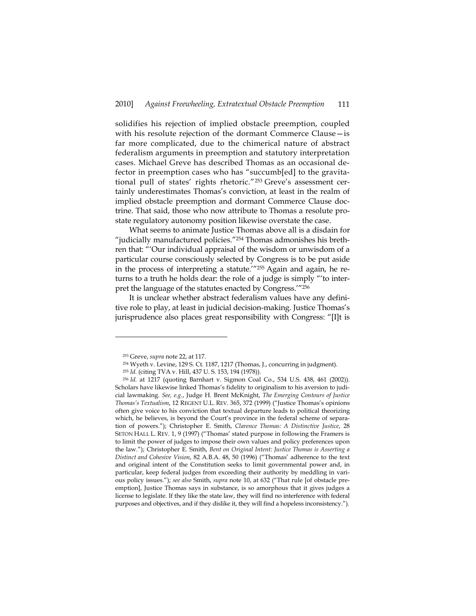solidifies his rejection of implied obstacle preemption, coupled with his resolute rejection of the dormant Commerce Clause—is far more complicated, due to the chimerical nature of abstract federalism arguments in preemption and statutory interpretation cases. Michael Greve has described Thomas as an occasional defector in preemption cases who has "succumb[ed] to the gravitational pull of states' rights rhetoric."253 Greve's assessment certainly underestimates Thomas's conviction, at least in the realm of implied obstacle preemption and dormant Commerce Clause doctrine. That said, those who now attribute to Thomas a resolute prostate regulatory autonomy position likewise overstate the case.

What seems to animate Justice Thomas above all is a disdain for "judicially manufactured policies."<sup>254</sup> Thomas admonishes his brethren that: "'Our individual appraisal of the wisdom or unwisdom of a particular course consciously selected by Congress is to be put aside in the process of interpreting a statute.'"255 Again and again, he returns to a truth he holds dear: the role of a judge is simply "'to interpret the language of the statutes enacted by Congress.'"256

It is unclear whether abstract federalism values have any definitive role to play, at least in judicial decision-making. Justice Thomas's jurisprudence also places great responsibility with Congress: "[I]t is

<sup>253</sup> Greve, *supra* note 22, at 117.

<sup>254</sup> Wyeth v. Levine, 129 S. Ct. 1187, 1217 (Thomas, J., concurring in judgment).

<sup>&</sup>lt;sup>255</sup> *Id.* (citing TVA v. Hill, 437 U. S. 153, 194 (1978)).

<sup>256</sup> *Id.* at 1217 (quoting Barnhart v. Sigmon Coal Co., 534 U.S. 438, 461 (2002)). Scholars have likewise linked Thomas's fidelity to originalism to his aversion to judicial lawmaking. *See, e.g.*, Judge H. Brent McKnight, *The Emerging Contours of Justice Thomas's Textualism*, 12 REGENT U.L. REV. 365, 372 (1999) ("Justice Thomas's opinions often give voice to his conviction that textual departure leads to political theorizing which, he believes, is beyond the Court's province in the federal scheme of separation of powers."); Christopher E. Smith, *Clarence Thomas: A Distinctive Justice*, 28 SETON HALL L. REV. 1, 9 (1997) ("Thomas' stated purpose in following the Framers is to limit the power of judges to impose their own values and policy preferences upon the law."); Christopher E. Smith, *Bent on Original Intent: Justice Thomas is Asserting a Distinct and Cohesive Vision*, 82 A.B.A. 48, 50 (1996) ("Thomas' adherence to the text and original intent of the Constitution seeks to limit governmental power and, in particular, keep federal judges from exceeding their authority by meddling in various policy issues."); *see also* Smith, *supra* note 10, at 632 ("That rule [of obstacle preemption], Justice Thomas says in substance, is so amorphous that it gives judges a license to legislate. If they like the state law, they will find no interference with federal purposes and objectives, and if they dislike it, they will find a hopeless inconsistency.").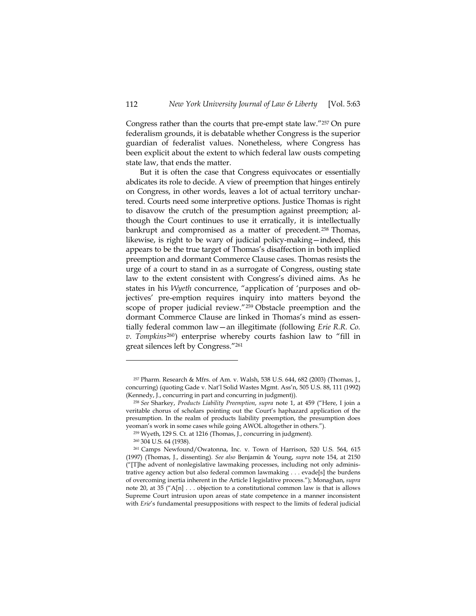Congress rather than the courts that pre-empt state law."257 On pure federalism grounds, it is debatable whether Congress is the superior guardian of federalist values. Nonetheless, where Congress has been explicit about the extent to which federal law ousts competing state law, that ends the matter.

But it is often the case that Congress equivocates or essentially abdicates its role to decide. A view of preemption that hinges entirely on Congress, in other words, leaves a lot of actual territory unchartered. Courts need some interpretive options. Justice Thomas is right to disavow the crutch of the presumption against preemption; although the Court continues to use it erratically, it is intellectually bankrupt and compromised as a matter of precedent. 258 Thomas, likewise, is right to be wary of judicial policy-making—indeed, this appears to be the true target of Thomas's disaffection in both implied preemption and dormant Commerce Clause cases. Thomas resists the urge of a court to stand in as a surrogate of Congress, ousting state law to the extent consistent with Congress's divined aims. As he states in his *Wyeth* concurrence, "application of 'purposes and objectives' pre-emption requires inquiry into matters beyond the scope of proper judicial review."259 Obstacle preemption and the dormant Commerce Clause are linked in Thomas's mind as essentially federal common law—an illegitimate (following *Erie R.R. Co. v. Tompkins*260) enterprise whereby courts fashion law to "fill in great silences left by Congress."261

<sup>257</sup> Pharm. Research & Mfrs. of Am. v. Walsh, 538 U.S. 644, 682 (2003) (Thomas, J., concurring) (quoting Gade v. Nat'l Solid Wastes Mgmt. Ass'n, 505 U.S. 88, 111 (1992) (Kennedy, J., concurring in part and concurring in judgment)).

<sup>258</sup> *See* Sharkey, *Products Liability Preemption*, *supra* note 1, at 459 ("Here, I join a veritable chorus of scholars pointing out the Court's haphazard application of the presumption. In the realm of products liability preemption, the presumption does yeoman's work in some cases while going AWOL altogether in others.").

<sup>259</sup> Wyeth, 129 S. Ct. at 1216 (Thomas, J., concurring in judgment).

<sup>260 304</sup> U.S. 64 (1938).

<sup>261</sup> Camps Newfound/Owatonna, Inc. v. Town of Harrison, 520 U.S. 564, 615 (1997) (Thomas, J., dissenting). *See also* Benjamin & Young, *supra* note 154, at 2150 ("[T]he advent of nonlegislative lawmaking processes, including not only administrative agency action but also federal common lawmaking . . . evade[s] the burdens of overcoming inertia inherent in the Article I legislative process."); Monaghan, *supra* note 20, at 35 ( $\alpha$ [n] . . . objection to a constitutional common law is that is allows Supreme Court intrusion upon areas of state competence in a manner inconsistent with *Erie*'s fundamental presuppositions with respect to the limits of federal judicial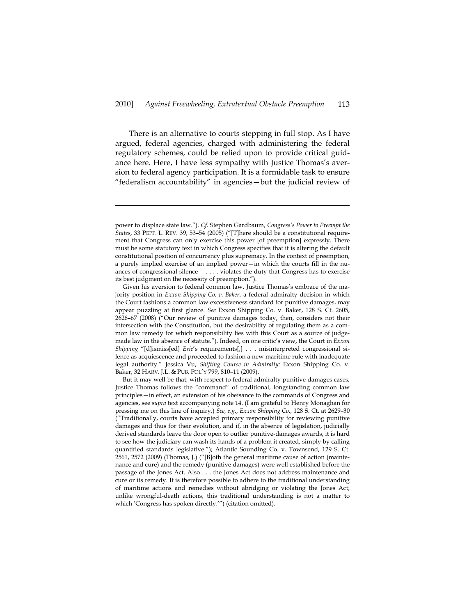There is an alternative to courts stepping in full stop. As I have argued, federal agencies, charged with administering the federal regulatory schemes, could be relied upon to provide critical guidance here. Here, I have less sympathy with Justice Thomas's aversion to federal agency participation. It is a formidable task to ensure "federalism accountability" in agencies—but the judicial review of

power to displace state law."). *Cf.* Stephen Gardbaum, *Congress's Power to Preempt the States*, 33 PEPP. L. REV. 39, 53–54 (2005) ("[T]here should be a constitutional requirement that Congress can only exercise this power [of preemption] expressly. There must be some statutory text in which Congress specifies that it is altering the default constitutional position of concurrency plus supremacy. In the context of preemption, a purely implied exercise of an implied power—in which the courts fill in the nuances of congressional silence— . . . . violates the duty that Congress has to exercise its best judgment on the necessity of preemption.").

Given his aversion to federal common law, Justice Thomas's embrace of the majority position in *Exxon Shipping Co. v. Baker*, a federal admiralty decision in which the Court fashions a common law excessiveness standard for punitive damages, may appear puzzling at first glance. *See* Exxon Shipping Co. v. Baker, 128 S. Ct. 2605, 2626–67 (2008) ("Our review of punitive damages today, then, considers not their intersection with the Constitution, but the desirability of regulating them as a common law remedy for which responsibility lies with this Court as a source of judgemade law in the absence of statute."). Indeed, on one critic's view, the Court in *Exxon Shipping* "[d]ismiss[ed] *Erie*'s requirements[,] . . . misinterpreted congressional silence as acquiescence and proceeded to fashion a new maritime rule with inadequate legal authority." Jessica Vu, *Shifting Course in Admiralty:* Exxon Shipping Co. v. Baker, 32 HARV. J.L. & PUB. POL'Y 799, 810–11 (2009).

But it may well be that, with respect to federal admiralty punitive damages cases, Justice Thomas follows the "command" of traditional, longstanding common law principles—in effect, an extension of his obeisance to the commands of Congress and agencies, see *supra* text accompanying note 14. (I am grateful to Henry Monaghan for pressing me on this line of inquiry.) *See, e.g*., *Exxon Shipping Co.*, 128 S. Ct. at 2629–30 ("Traditionally, courts have accepted primary responsibility for reviewing punitive damages and thus for their evolution, and if, in the absence of legislation, judicially derived standards leave the door open to outlier punitive-damages awards, it is hard to see how the judiciary can wash its hands of a problem it created, simply by calling quantified standards legislative."); Atlantic Sounding Co. v. Townsend, 129 S. Ct. 2561, 2572 (2009) (Thomas, J.) ("[B]oth the general maritime cause of action (maintenance and cure) and the remedy (punitive damages) were well established before the passage of the Jones Act. Also . . . the Jones Act does not address maintenance and cure or its remedy. It is therefore possible to adhere to the traditional understanding of maritime actions and remedies without abridging or violating the Jones Act; unlike wrongful-death actions, this traditional understanding is not a matter to which 'Congress has spoken directly.'") (citation omitted).